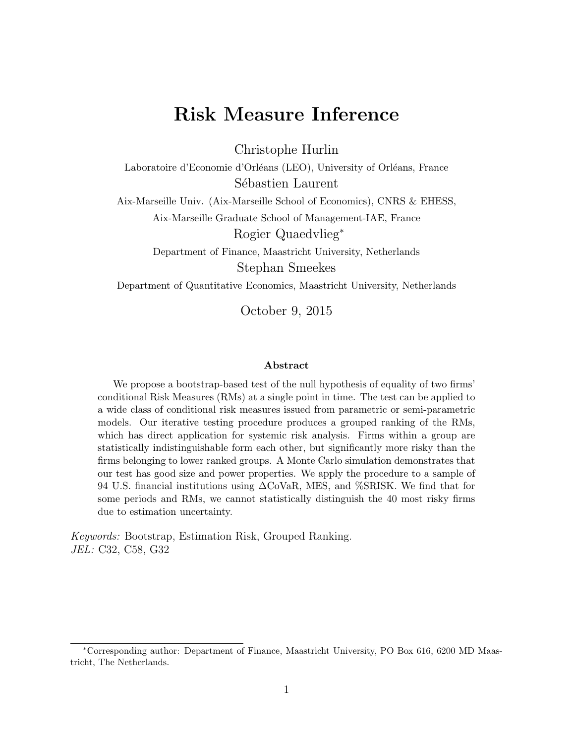# Risk Measure Inference

Christophe Hurlin

Laboratoire d'Economie d'Orléans (LEO), University of Orléans, France Sébastien Laurent

Aix-Marseille Univ. (Aix-Marseille School of Economics), CNRS & EHESS,

Aix-Marseille Graduate School of Management-IAE, France

Rogier Quaedvlieg<sup>∗</sup>

Department of Finance, Maastricht University, Netherlands Stephan Smeekes

Department of Quantitative Economics, Maastricht University, Netherlands

October 9, 2015

#### Abstract

We propose a bootstrap-based test of the null hypothesis of equality of two firms' conditional Risk Measures (RMs) at a single point in time. The test can be applied to a wide class of conditional risk measures issued from parametric or semi-parametric models. Our iterative testing procedure produces a grouped ranking of the RMs, which has direct application for systemic risk analysis. Firms within a group are statistically indistinguishable form each other, but significantly more risky than the firms belonging to lower ranked groups. A Monte Carlo simulation demonstrates that our test has good size and power properties. We apply the procedure to a sample of 94 U.S. financial institutions using  $\Delta$ CoVaR, MES, and %SRISK. We find that for some periods and RMs, we cannot statistically distinguish the 40 most risky firms due to estimation uncertainty.

Keywords: Bootstrap, Estimation Risk, Grouped Ranking. JEL: C32, C58, G32

<sup>∗</sup>Corresponding author: Department of Finance, Maastricht University, PO Box 616, 6200 MD Maastricht, The Netherlands.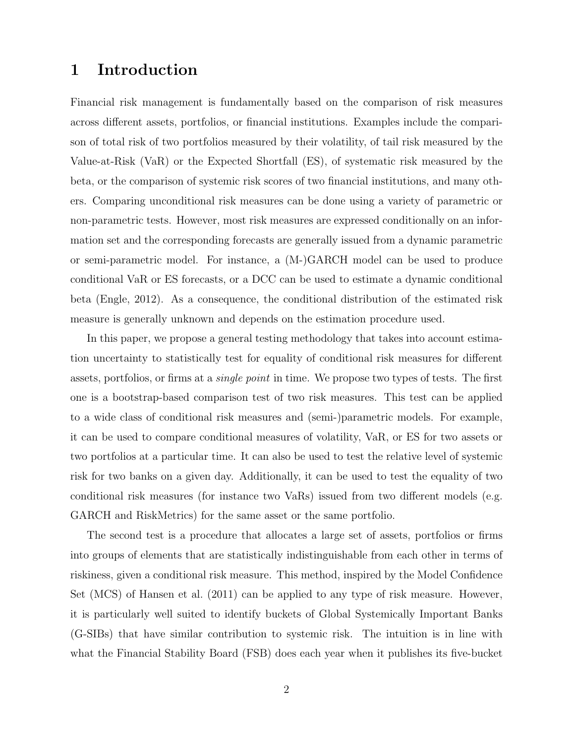### 1 Introduction

Financial risk management is fundamentally based on the comparison of risk measures across different assets, portfolios, or financial institutions. Examples include the comparison of total risk of two portfolios measured by their volatility, of tail risk measured by the Value-at-Risk (VaR) or the Expected Shortfall (ES), of systematic risk measured by the beta, or the comparison of systemic risk scores of two financial institutions, and many others. Comparing unconditional risk measures can be done using a variety of parametric or non-parametric tests. However, most risk measures are expressed conditionally on an information set and the corresponding forecasts are generally issued from a dynamic parametric or semi-parametric model. For instance, a (M-)GARCH model can be used to produce conditional VaR or ES forecasts, or a DCC can be used to estimate a dynamic conditional beta (Engle, 2012). As a consequence, the conditional distribution of the estimated risk measure is generally unknown and depends on the estimation procedure used.

In this paper, we propose a general testing methodology that takes into account estimation uncertainty to statistically test for equality of conditional risk measures for different assets, portfolios, or firms at a *single point* in time. We propose two types of tests. The first one is a bootstrap-based comparison test of two risk measures. This test can be applied to a wide class of conditional risk measures and (semi-)parametric models. For example, it can be used to compare conditional measures of volatility, VaR, or ES for two assets or two portfolios at a particular time. It can also be used to test the relative level of systemic risk for two banks on a given day. Additionally, it can be used to test the equality of two conditional risk measures (for instance two VaRs) issued from two different models (e.g. GARCH and RiskMetrics) for the same asset or the same portfolio.

The second test is a procedure that allocates a large set of assets, portfolios or firms into groups of elements that are statistically indistinguishable from each other in terms of riskiness, given a conditional risk measure. This method, inspired by the Model Confidence Set (MCS) of Hansen et al. (2011) can be applied to any type of risk measure. However, it is particularly well suited to identify buckets of Global Systemically Important Banks (G-SIBs) that have similar contribution to systemic risk. The intuition is in line with what the Financial Stability Board (FSB) does each year when it publishes its five-bucket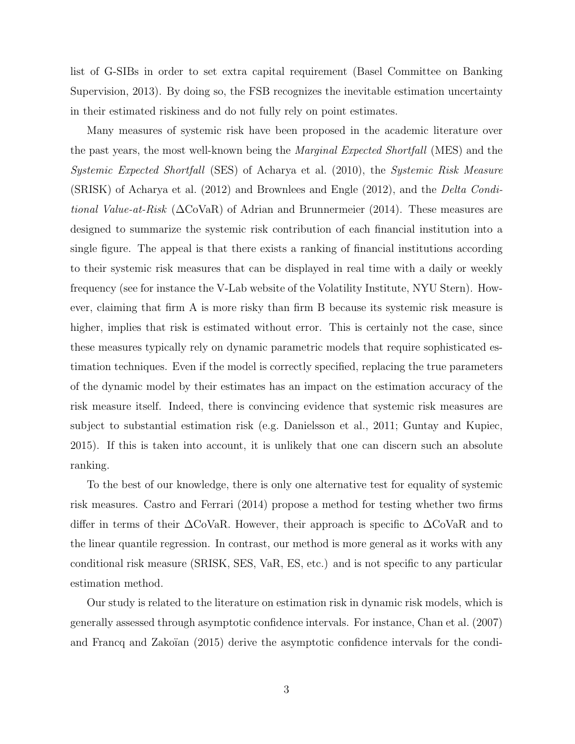list of G-SIBs in order to set extra capital requirement (Basel Committee on Banking Supervision, 2013). By doing so, the FSB recognizes the inevitable estimation uncertainty in their estimated riskiness and do not fully rely on point estimates.

Many measures of systemic risk have been proposed in the academic literature over the past years, the most well-known being the *Marginal Expected Shortfall* (MES) and the Systemic Expected Shortfall (SES) of Acharya et al. (2010), the Systemic Risk Measure (SRISK) of Acharya et al. (2012) and Brownlees and Engle (2012), and the Delta Conditional Value-at-Risk ( $\Delta$ CoVaR) of Adrian and Brunnermeier (2014). These measures are designed to summarize the systemic risk contribution of each financial institution into a single figure. The appeal is that there exists a ranking of financial institutions according to their systemic risk measures that can be displayed in real time with a daily or weekly frequency (see for instance the V-Lab website of the Volatility Institute, NYU Stern). However, claiming that firm A is more risky than firm B because its systemic risk measure is higher, implies that risk is estimated without error. This is certainly not the case, since these measures typically rely on dynamic parametric models that require sophisticated estimation techniques. Even if the model is correctly specified, replacing the true parameters of the dynamic model by their estimates has an impact on the estimation accuracy of the risk measure itself. Indeed, there is convincing evidence that systemic risk measures are subject to substantial estimation risk (e.g. Danielsson et al., 2011; Guntay and Kupiec, 2015). If this is taken into account, it is unlikely that one can discern such an absolute ranking.

To the best of our knowledge, there is only one alternative test for equality of systemic risk measures. Castro and Ferrari (2014) propose a method for testing whether two firms differ in terms of their ∆CoVaR. However, their approach is specific to ∆CoVaR and to the linear quantile regression. In contrast, our method is more general as it works with any conditional risk measure (SRISK, SES, VaR, ES, etc.) and is not specific to any particular estimation method.

Our study is related to the literature on estimation risk in dynamic risk models, which is generally assessed through asymptotic confidence intervals. For instance, Chan et al. (2007) and Francq and Zakoïan (2015) derive the asymptotic confidence intervals for the condi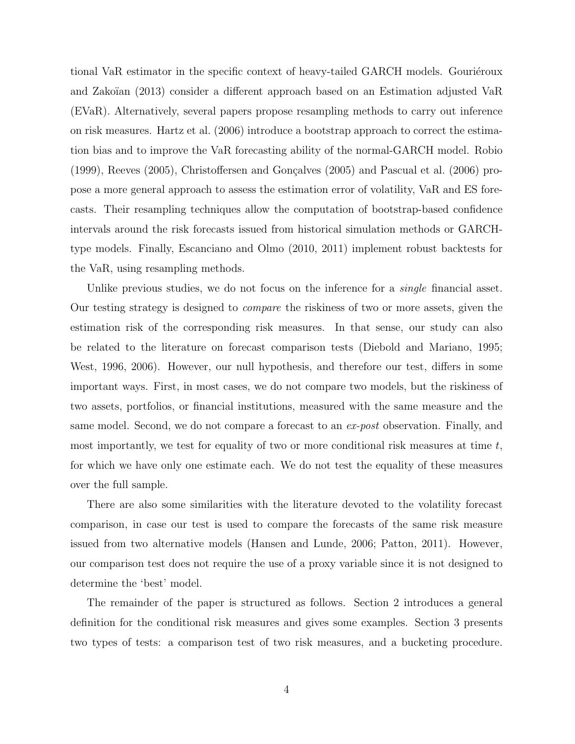tional VaR estimator in the specific context of heavy-tailed GARCH models. Gourieroux and Zakoïan (2013) consider a different approach based on an Estimation adjusted VaR (EVaR). Alternatively, several papers propose resampling methods to carry out inference on risk measures. Hartz et al. (2006) introduce a bootstrap approach to correct the estimation bias and to improve the VaR forecasting ability of the normal-GARCH model. Robio  $(1999)$ , Reeves  $(2005)$ , Christoffersen and Gonçalves  $(2005)$  and Pascual et al.  $(2006)$  propose a more general approach to assess the estimation error of volatility, VaR and ES forecasts. Their resampling techniques allow the computation of bootstrap-based confidence intervals around the risk forecasts issued from historical simulation methods or GARCHtype models. Finally, Escanciano and Olmo (2010, 2011) implement robust backtests for the VaR, using resampling methods.

Unlike previous studies, we do not focus on the inference for a *single* financial asset. Our testing strategy is designed to compare the riskiness of two or more assets, given the estimation risk of the corresponding risk measures. In that sense, our study can also be related to the literature on forecast comparison tests (Diebold and Mariano, 1995; West, 1996, 2006). However, our null hypothesis, and therefore our test, differs in some important ways. First, in most cases, we do not compare two models, but the riskiness of two assets, portfolios, or financial institutions, measured with the same measure and the same model. Second, we do not compare a forecast to an ex-post observation. Finally, and most importantly, we test for equality of two or more conditional risk measures at time  $t$ , for which we have only one estimate each. We do not test the equality of these measures over the full sample.

There are also some similarities with the literature devoted to the volatility forecast comparison, in case our test is used to compare the forecasts of the same risk measure issued from two alternative models (Hansen and Lunde, 2006; Patton, 2011). However, our comparison test does not require the use of a proxy variable since it is not designed to determine the 'best' model.

The remainder of the paper is structured as follows. Section 2 introduces a general definition for the conditional risk measures and gives some examples. Section 3 presents two types of tests: a comparison test of two risk measures, and a bucketing procedure.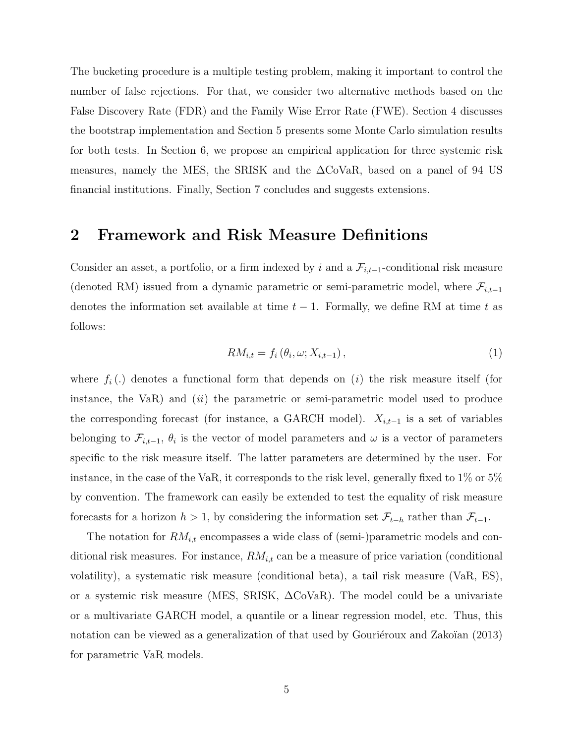The bucketing procedure is a multiple testing problem, making it important to control the number of false rejections. For that, we consider two alternative methods based on the False Discovery Rate (FDR) and the Family Wise Error Rate (FWE). Section 4 discusses the bootstrap implementation and Section 5 presents some Monte Carlo simulation results for both tests. In Section 6, we propose an empirical application for three systemic risk measures, namely the MES, the SRISK and the  $\Delta$ CoVaR, based on a panel of 94 US financial institutions. Finally, Section 7 concludes and suggests extensions.

### 2 Framework and Risk Measure Definitions

Consider an asset, a portfolio, or a firm indexed by i and a  $\mathcal{F}_{i,t-1}$ -conditional risk measure (denoted RM) issued from a dynamic parametric or semi-parametric model, where  $\mathcal{F}_{i,t-1}$ denotes the information set available at time  $t - 1$ . Formally, we define RM at time t as follows:

$$
RM_{i,t} = f_i\left(\theta_i, \omega; X_{i,t-1}\right),\tag{1}
$$

where  $f_i(.)$  denotes a functional form that depends on  $(i)$  the risk measure itself (for instance, the VaR) and  $(ii)$  the parametric or semi-parametric model used to produce the corresponding forecast (for instance, a GARCH model).  $X_{i,t-1}$  is a set of variables belonging to  $\mathcal{F}_{i,t-1}$ ,  $\theta_i$  is the vector of model parameters and  $\omega$  is a vector of parameters specific to the risk measure itself. The latter parameters are determined by the user. For instance, in the case of the VaR, it corresponds to the risk level, generally fixed to 1% or 5% by convention. The framework can easily be extended to test the equality of risk measure forecasts for a horizon  $h > 1$ , by considering the information set  $\mathcal{F}_{t-h}$  rather than  $\mathcal{F}_{t-1}$ .

The notation for  $RM_{i,t}$  encompasses a wide class of (semi-)parametric models and conditional risk measures. For instance,  $RM_{i,t}$  can be a measure of price variation (conditional volatility), a systematic risk measure (conditional beta), a tail risk measure (VaR, ES), or a systemic risk measure (MES, SRISK,  $\Delta \text{CoVaR}$ ). The model could be a univariate or a multivariate GARCH model, a quantile or a linear regression model, etc. Thus, this notation can be viewed as a generalization of that used by Gouriéroux and Zakoïan (2013) for parametric VaR models.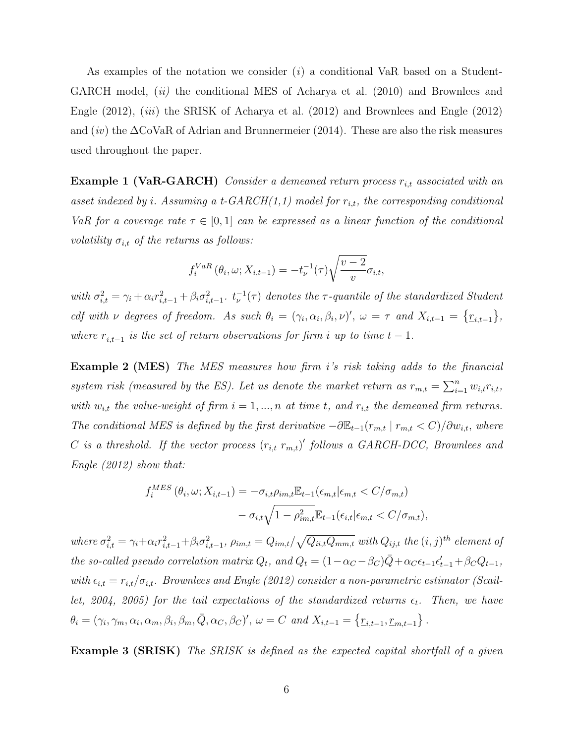As examples of the notation we consider  $(i)$  a conditional VaR based on a Student-GARCH model,  $(ii)$  the conditional MES of Acharya et al. (2010) and Brownlees and Engle (2012), *(iii)* the SRISK of Acharya et al. (2012) and Brownlees and Engle (2012) and (iv) the  $\Delta$ CoVaR of Adrian and Brunnermeier (2014). These are also the risk measures used throughout the paper.

Example 1 (VaR-GARCH) Consider a demeaned return process  $r_{i,t}$  associated with an asset indexed by i. Assuming a t-GARCH(1,1) model for  $r_{i,t}$ , the corresponding conditional VaR for a coverage rate  $\tau \in [0,1]$  can be expressed as a linear function of the conditional volatility  $\sigma_{i,t}$  of the returns as follows:

$$
f_i^{VaR}(\theta_i, \omega; X_{i,t-1}) = -t_{\nu}^{-1}(\tau) \sqrt{\frac{\nu-2}{\nu}} \sigma_{i,t},
$$

with  $\sigma_{i,t}^2 = \gamma_i + \alpha_i r_{i,t-1}^2 + \beta_i \sigma_{i,t-1}^2$ .  $t_{\nu}^{-1}(\tau)$  denotes the  $\tau$ -quantile of the standardized Student cdf with v degrees of freedom. As such  $\theta_i = (\gamma_i, \alpha_i, \beta_i, \nu)'$ ,  $\omega = \tau$  and  $X_{i,t-1} = \{\underline{r}_{i,t-1}\}\$ , where  $\underline{r}_{i,t-1}$  is the set of return observations for firm i up to time  $t-1$ .

Example 2 (MES) The MES measures how firm i's risk taking adds to the financial system risk (measured by the ES). Let us denote the market return as  $r_{m,t} = \sum_{i=1}^{n} w_{i,t} r_{i,t}$ , with  $w_{i,t}$  the value-weight of firm  $i = 1, ..., n$  at time t, and  $r_{i,t}$  the demeaned firm returns. The conditional MES is defined by the first derivative  $-\partial \mathbb{E}_{t-1}(r_{m,t} \mid r_{m,t} < C)/\partial w_{i,t}$ , where C is a threshold. If the vector process  $(r_{i,t}, r_{m,t})'$  follows a GARCH-DCC, Brownlees and Engle (2012) show that:

$$
f_i^{MES}(\theta_i, \omega; X_{i,t-1}) = -\sigma_{i,t}\rho_{im,t} \mathbb{E}_{t-1}(\epsilon_{m,t}|\epsilon_{m,t} < C/\sigma_{m,t})
$$

$$
-\sigma_{i,t}\sqrt{1-\rho_{im,t}^2}\mathbb{E}_{t-1}(\epsilon_{i,t}|\epsilon_{m,t} < C/\sigma_{m,t}),
$$

where  $\sigma_{i,t}^2 = \gamma_i + \alpha_i r_{i,t-1}^2 + \beta_i \sigma_{i,t-1}^2$ ,  $\rho_{im,t} = Q_{im,t}/\sqrt{Q_{ii,t}Q_{mm,t}}$  with  $Q_{ij,t}$  the  $(i, j)^{th}$  element of the so-called pseudo correlation matrix  $Q_t$ , and  $Q_t = (1 - \alpha_C - \beta_C)\overline{Q} + \alpha_C\epsilon_{t-1}\epsilon'_{t-1} + \beta_C Q_{t-1}$ , with  $\epsilon_{i,t} = r_{i,t}/\sigma_{i,t}$ . Brownlees and Engle (2012) consider a non-parametric estimator (Scaillet, 2004, 2005) for the tail expectations of the standardized returns  $\epsilon_t$ . Then, we have  $\theta_i = (\gamma_i, \gamma_m, \alpha_i, \alpha_m, \beta_i, \beta_m, \overline{Q}, \alpha_C, \beta_C)'$ ,  $\omega = C$  and  $X_{i,t-1} = \{ \underline{r}_{i,t-1}, \underline{r}_{m,t-1} \}$ .

Example 3 (SRISK) The SRISK is defined as the expected capital shortfall of a given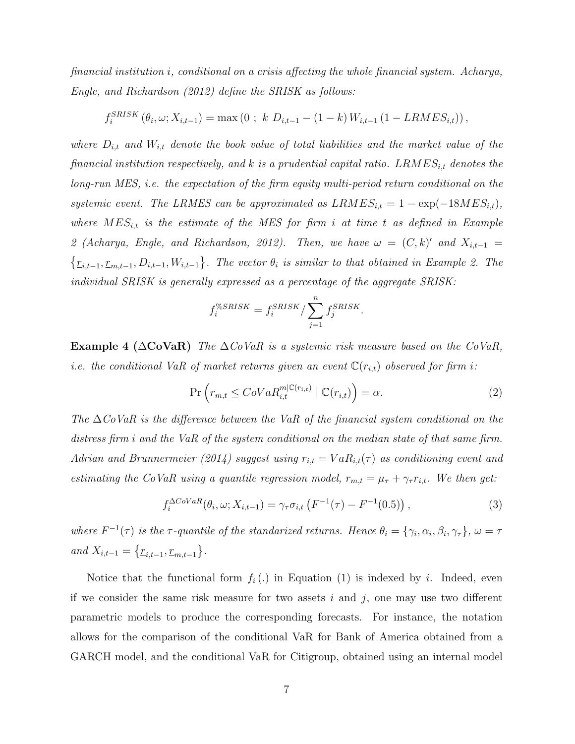financial institution i, conditional on a crisis affecting the whole financial system. Acharya, Engle, and Richardson (2012) define the SRISK as follows:

$$
f_i^{SRISK}(\theta_i, \omega; X_{i,t-1}) = \max(0 \; ; \; k \; D_{i,t-1} - (1-k) \, W_{i,t-1} \, (1-LRMES_{i,t})) \,,
$$

where  $D_{i,t}$  and  $W_{i,t}$  denote the book value of total liabilities and the market value of the financial institution respectively, and k is a prudential capital ratio.  $LRMES_{i,t}$  denotes the long-run MES, i.e. the expectation of the firm equity multi-period return conditional on the systemic event. The LRMES can be approximated as  $LRMES_{i,t} = 1 - \exp(-18MES_{i,t}),$ where  $MES_{i,t}$  is the estimate of the MES for firm i at time t as defined in Example 2 (Acharya, Engle, and Richardson, 2012). Then, we have  $\omega = (C, k)'$  and  $X_{i,t-1} =$  $\{r_{i,t-1}, r_{m,t-1}, D_{i,t-1}, W_{i,t-1}\}$ . The vector  $\theta_i$  is similar to that obtained in Example 2. The individual SRISK is generally expressed as a percentage of the aggregate SRISK:

$$
f_i^{\%SRISK} = f_i^{SRISK} / \sum_{j=1}^{n} f_j^{SRISK}.
$$

**Example 4 (** $\Delta \text{CoVaR}$ **)** The  $\Delta CoVaR$  is a systemic risk measure based on the CoVaR, i.e. the conditional VaR of market returns given an event  $\mathbb{C}(r_{i,t})$  observed for firm i:

$$
\Pr\left(r_{m,t} \leq CoVaR_{i,t}^{m|\mathbb{C}(r_{i,t})} \mid \mathbb{C}(r_{i,t})\right) = \alpha. \tag{2}
$$

The  $\Delta$ CoVaR is the difference between the VaR of the financial system conditional on the distress firm i and the VaR of the system conditional on the median state of that same firm. Adrian and Brunnermeier (2014) suggest using  $r_{i,t} = VaR_{i,t}(\tau)$  as conditioning event and estimating the CoVaR using a quantile regression model,  $r_{m,t} = \mu_{\tau} + \gamma_{\tau} r_{i,t}$ . We then get:

$$
f_i^{\Delta CoVaR}(\theta_i, \omega; X_{i,t-1}) = \gamma_\tau \sigma_{i,t} \left( F^{-1}(\tau) - F^{-1}(0.5) \right), \tag{3}
$$

where  $F^{-1}(\tau)$  is the  $\tau$ -quantile of the standarized returns. Hence  $\theta_i = {\gamma_i, \alpha_i, \beta_i, \gamma_{\tau}}$ ,  $\omega = \tau$ and  $X_{i,t-1} = \{ \underline{r}_{i,t-1}, \underline{r}_{m,t-1} \}.$ 

Notice that the functional form  $f_i(.)$  in Equation (1) is indexed by i. Indeed, even if we consider the same risk measure for two assets  $i$  and  $j$ , one may use two different parametric models to produce the corresponding forecasts. For instance, the notation allows for the comparison of the conditional VaR for Bank of America obtained from a GARCH model, and the conditional VaR for Citigroup, obtained using an internal model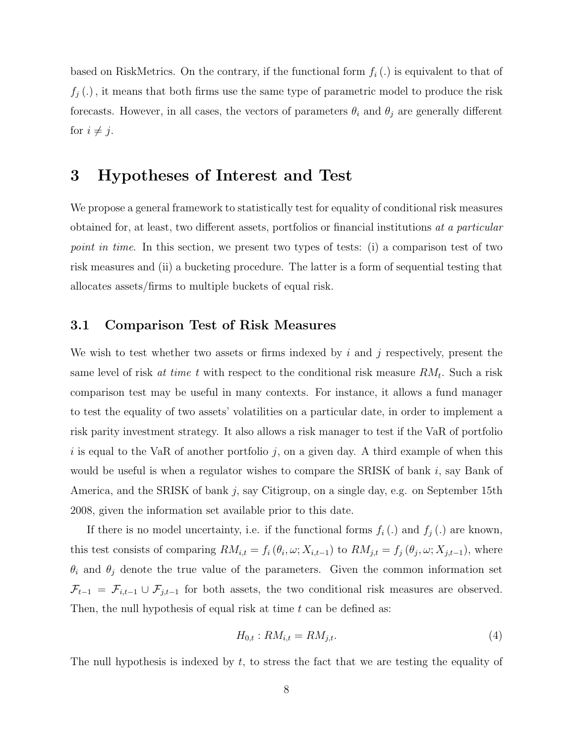based on RiskMetrics. On the contrary, if the functional form  $f_i(.)$  is equivalent to that of  $f_j(.)$ , it means that both firms use the same type of parametric model to produce the risk forecasts. However, in all cases, the vectors of parameters  $\theta_i$  and  $\theta_j$  are generally different for  $i \neq j$ .

### 3 Hypotheses of Interest and Test

We propose a general framework to statistically test for equality of conditional risk measures obtained for, at least, two different assets, portfolios or financial institutions at a particular point in time. In this section, we present two types of tests: (i) a comparison test of two risk measures and (ii) a bucketing procedure. The latter is a form of sequential testing that allocates assets/firms to multiple buckets of equal risk.

#### 3.1 Comparison Test of Risk Measures

We wish to test whether two assets or firms indexed by  $i$  and  $j$  respectively, present the same level of risk *at time t* with respect to the conditional risk measure  $RM_t$ . Such a risk comparison test may be useful in many contexts. For instance, it allows a fund manager to test the equality of two assets' volatilities on a particular date, in order to implement a risk parity investment strategy. It also allows a risk manager to test if the VaR of portfolio i is equal to the VaR of another portfolio  $j$ , on a given day. A third example of when this would be useful is when a regulator wishes to compare the SRISK of bank  $i$ , say Bank of America, and the SRISK of bank j, say Citigroup, on a single day, e.g. on September 15th 2008, given the information set available prior to this date.

If there is no model uncertainty, i.e. if the functional forms  $f_i(.)$  and  $f_j(.)$  are known, this test consists of comparing  $RM_{i,t} = f_i(\theta_i, \omega; X_{i,t-1})$  to  $RM_{j,t} = f_j(\theta_j, \omega; X_{j,t-1})$ , where  $\theta_i$  and  $\theta_j$  denote the true value of the parameters. Given the common information set  $\mathcal{F}_{t-1} = \mathcal{F}_{i,t-1} \cup \mathcal{F}_{j,t-1}$  for both assets, the two conditional risk measures are observed. Then, the null hypothesis of equal risk at time  $t$  can be defined as:

$$
H_{0,t}: RM_{i,t} = RM_{j,t}.\tag{4}
$$

The null hypothesis is indexed by  $t$ , to stress the fact that we are testing the equality of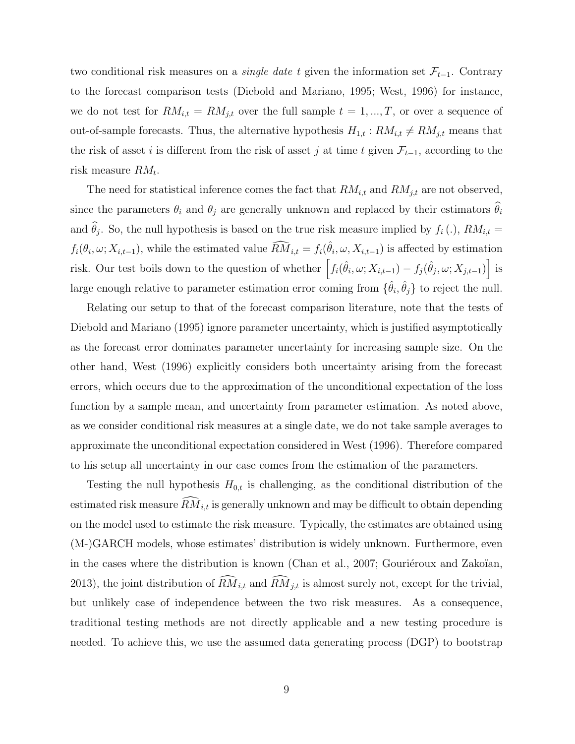two conditional risk measures on a *single date t* given the information set  $\mathcal{F}_{t-1}$ . Contrary to the forecast comparison tests (Diebold and Mariano, 1995; West, 1996) for instance, we do not test for  $RM_{i,t} = RM_{j,t}$  over the full sample  $t = 1, ..., T$ , or over a sequence of out-of-sample forecasts. Thus, the alternative hypothesis  $H_{1,t}$ :  $RM_{i,t} \neq RM_{j,t}$  means that the risk of asset i is different from the risk of asset j at time t given  $\mathcal{F}_{t-1}$ , according to the risk measure  $RM_t$ .

The need for statistical inference comes the fact that  $RM_{i,t}$  and  $RM_{j,t}$  are not observed, since the parameters  $\theta_i$  and  $\theta_j$  are generally unknown and replaced by their estimators  $\hat{\theta}_i$ and  $\theta_j$ . So, the null hypothesis is based on the true risk measure implied by  $f_i(.)$ ,  $RM_{i,t}$  $f_i(\theta_i, \omega; X_{i,t-1})$ , while the estimated value  $\widehat{RM}_{i,t} = f_i(\hat{\theta}_i, \omega, X_{i,t-1})$  is affected by estimation risk. Our test boils down to the question of whether  $\left[f_i(\hat{\theta}_i,\omega;X_{i,t-1})-f_j(\hat{\theta}_j,\omega;X_{j,t-1})\right]$  is large enough relative to parameter estimation error coming from  $\{\hat{\theta}_i, \hat{\theta}_j\}$  to reject the null.

Relating our setup to that of the forecast comparison literature, note that the tests of Diebold and Mariano (1995) ignore parameter uncertainty, which is justified asymptotically as the forecast error dominates parameter uncertainty for increasing sample size. On the other hand, West (1996) explicitly considers both uncertainty arising from the forecast errors, which occurs due to the approximation of the unconditional expectation of the loss function by a sample mean, and uncertainty from parameter estimation. As noted above, as we consider conditional risk measures at a single date, we do not take sample averages to approximate the unconditional expectation considered in West (1996). Therefore compared to his setup all uncertainty in our case comes from the estimation of the parameters.

Testing the null hypothesis  $H_{0,t}$  is challenging, as the conditional distribution of the estimated risk measure  $\widehat{RM}_{i,t}$  is generally unknown and may be difficult to obtain depending on the model used to estimate the risk measure. Typically, the estimates are obtained using (M-)GARCH models, whose estimates' distribution is widely unknown. Furthermore, even in the cases where the distribution is known (Chan et al., 2007; Gouriéroux and Zakoïan, 2013), the joint distribution of  $\widehat{RM}_{i,t}$  and  $\widehat{RM}_{j,t}$  is almost surely not, except for the trivial, but unlikely case of independence between the two risk measures. As a consequence, traditional testing methods are not directly applicable and a new testing procedure is needed. To achieve this, we use the assumed data generating process (DGP) to bootstrap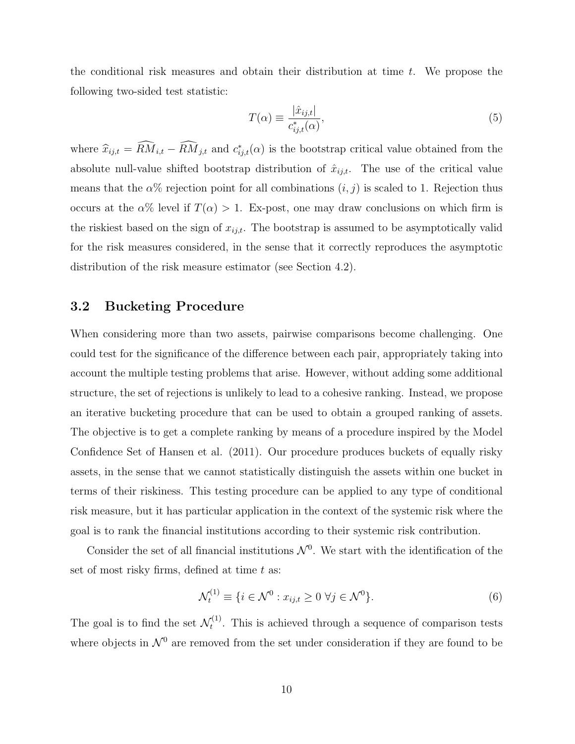the conditional risk measures and obtain their distribution at time  $t$ . We propose the following two-sided test statistic:

$$
T(\alpha) \equiv \frac{|\hat{x}_{ij,t}|}{c_{ij,t}^*(\alpha)},\tag{5}
$$

where  $\hat{x}_{ij,t} = \hat{R}\hat{M}_{i,t} - \hat{R}\hat{M}_{j,t}$  and  $c_{ij,t}^*(\alpha)$  is the bootstrap critical value obtained from the absolute null-value shifted bootstrap distribution of  $\hat{x}_{ij,t}$ . The use of the critical value means that the  $\alpha$ % rejection point for all combinations  $(i, j)$  is scaled to 1. Rejection thus occurs at the  $\alpha$ % level if  $T(\alpha) > 1$ . Ex-post, one may draw conclusions on which firm is the riskiest based on the sign of  $x_{ij,t}$ . The bootstrap is assumed to be asymptotically valid for the risk measures considered, in the sense that it correctly reproduces the asymptotic distribution of the risk measure estimator (see Section 4.2).

### 3.2 Bucketing Procedure

When considering more than two assets, pairwise comparisons become challenging. One could test for the significance of the difference between each pair, appropriately taking into account the multiple testing problems that arise. However, without adding some additional structure, the set of rejections is unlikely to lead to a cohesive ranking. Instead, we propose an iterative bucketing procedure that can be used to obtain a grouped ranking of assets. The objective is to get a complete ranking by means of a procedure inspired by the Model Confidence Set of Hansen et al. (2011). Our procedure produces buckets of equally risky assets, in the sense that we cannot statistically distinguish the assets within one bucket in terms of their riskiness. This testing procedure can be applied to any type of conditional risk measure, but it has particular application in the context of the systemic risk where the goal is to rank the financial institutions according to their systemic risk contribution.

Consider the set of all financial institutions  $\mathcal{N}^0$ . We start with the identification of the set of most risky firms, defined at time t as:

$$
\mathcal{N}_t^{(1)} \equiv \{ i \in \mathcal{N}^0 : x_{ij,t} \ge 0 \,\,\forall j \in \mathcal{N}^0 \}. \tag{6}
$$

The goal is to find the set  $\mathcal{N}_t^{(1)}$  $t^{(1)}$ . This is achieved through a sequence of comparison tests where objects in  $\mathcal{N}^0$  are removed from the set under consideration if they are found to be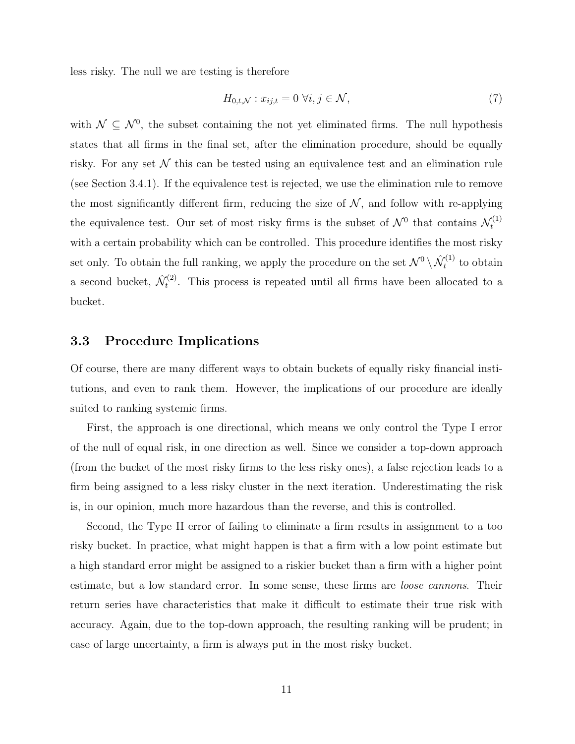less risky. The null we are testing is therefore

$$
H_{0,t,\mathcal{N}}: x_{ij,t} = 0 \,\forall i, j \in \mathcal{N},\tag{7}
$$

with  $\mathcal{N} \subseteq \mathcal{N}^0$ , the subset containing the not yet eliminated firms. The null hypothesis states that all firms in the final set, after the elimination procedure, should be equally risky. For any set  $\mathcal N$  this can be tested using an equivalence test and an elimination rule (see Section 3.4.1). If the equivalence test is rejected, we use the elimination rule to remove the most significantly different firm, reducing the size of  $N$ , and follow with re-applying the equivalence test. Our set of most risky firms is the subset of  $\mathcal{N}^0$  that contains  $\mathcal{N}_t^{(1)}$ t with a certain probability which can be controlled. This procedure identifies the most risky set only. To obtain the full ranking, we apply the procedure on the set  $\mathcal{N}^0 \setminus \hat{\mathcal{N}}_t^{(1)}$  $t^{(1)}$  to obtain a second bucket,  $\hat{\mathcal{N}}_t^{(2)}$  $t^{(2)}$ . This process is repeated until all firms have been allocated to a bucket.

#### 3.3 Procedure Implications

Of course, there are many different ways to obtain buckets of equally risky financial institutions, and even to rank them. However, the implications of our procedure are ideally suited to ranking systemic firms.

First, the approach is one directional, which means we only control the Type I error of the null of equal risk, in one direction as well. Since we consider a top-down approach (from the bucket of the most risky firms to the less risky ones), a false rejection leads to a firm being assigned to a less risky cluster in the next iteration. Underestimating the risk is, in our opinion, much more hazardous than the reverse, and this is controlled.

Second, the Type II error of failing to eliminate a firm results in assignment to a too risky bucket. In practice, what might happen is that a firm with a low point estimate but a high standard error might be assigned to a riskier bucket than a firm with a higher point estimate, but a low standard error. In some sense, these firms are loose cannons. Their return series have characteristics that make it difficult to estimate their true risk with accuracy. Again, due to the top-down approach, the resulting ranking will be prudent; in case of large uncertainty, a firm is always put in the most risky bucket.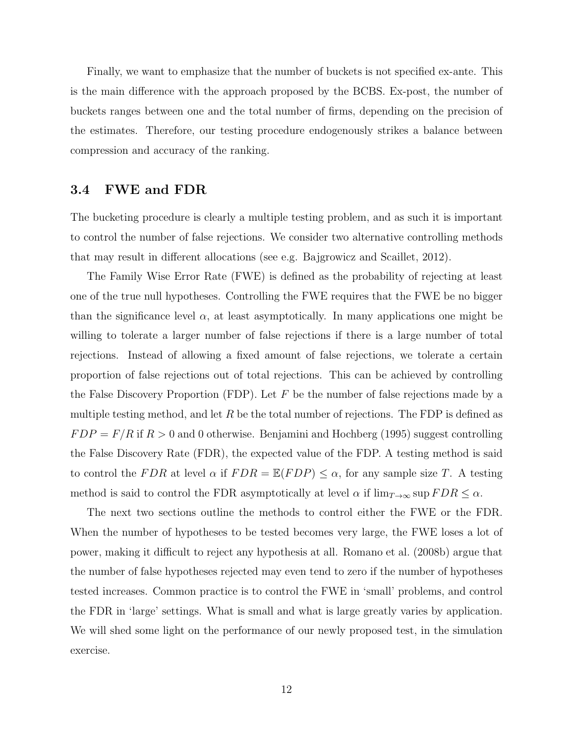Finally, we want to emphasize that the number of buckets is not specified ex-ante. This is the main difference with the approach proposed by the BCBS. Ex-post, the number of buckets ranges between one and the total number of firms, depending on the precision of the estimates. Therefore, our testing procedure endogenously strikes a balance between compression and accuracy of the ranking.

#### 3.4 FWE and FDR

The bucketing procedure is clearly a multiple testing problem, and as such it is important to control the number of false rejections. We consider two alternative controlling methods that may result in different allocations (see e.g. Bajgrowicz and Scaillet, 2012).

The Family Wise Error Rate (FWE) is defined as the probability of rejecting at least one of the true null hypotheses. Controlling the FWE requires that the FWE be no bigger than the significance level  $\alpha$ , at least asymptotically. In many applications one might be willing to tolerate a larger number of false rejections if there is a large number of total rejections. Instead of allowing a fixed amount of false rejections, we tolerate a certain proportion of false rejections out of total rejections. This can be achieved by controlling the False Discovery Proportion (FDP). Let  $F$  be the number of false rejections made by a multiple testing method, and let R be the total number of rejections. The FDP is defined as  $FDP = F/R$  if  $R > 0$  and 0 otherwise. Benjamini and Hochberg (1995) suggest controlling the False Discovery Rate (FDR), the expected value of the FDP. A testing method is said to control the FDR at level  $\alpha$  if  $FDR = \mathbb{E}(FDP) \leq \alpha$ , for any sample size T. A testing method is said to control the FDR asymptotically at level  $\alpha$  if  $\lim_{T\to\infty} \sup FDR \leq \alpha$ .

The next two sections outline the methods to control either the FWE or the FDR. When the number of hypotheses to be tested becomes very large, the FWE loses a lot of power, making it difficult to reject any hypothesis at all. Romano et al. (2008b) argue that the number of false hypotheses rejected may even tend to zero if the number of hypotheses tested increases. Common practice is to control the FWE in 'small' problems, and control the FDR in 'large' settings. What is small and what is large greatly varies by application. We will shed some light on the performance of our newly proposed test, in the simulation exercise.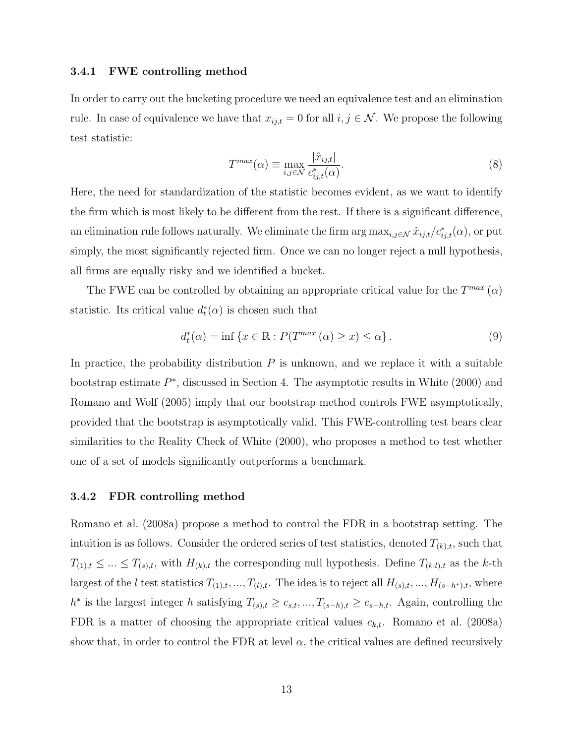#### 3.4.1 FWE controlling method

In order to carry out the bucketing procedure we need an equivalence test and an elimination rule. In case of equivalence we have that  $x_{ij,t} = 0$  for all  $i, j \in \mathcal{N}$ . We propose the following test statistic:

$$
T^{max}(\alpha) \equiv \max_{i,j \in \mathcal{N}} \frac{|\hat{x}_{ij,t}|}{c_{ij,t}^*(\alpha)}.
$$
\n(8)

Here, the need for standardization of the statistic becomes evident, as we want to identify the firm which is most likely to be different from the rest. If there is a significant difference, an elimination rule follows naturally. We eliminate the firm  $\arg \max_{i,j \in \mathcal{N}} \hat{x}_{ij,t}/c^*_{ij,t}(\alpha)$ , or put simply, the most significantly rejected firm. Once we can no longer reject a null hypothesis, all firms are equally risky and we identified a bucket.

The FWE can be controlled by obtaining an appropriate critical value for the  $T^{max}(\alpha)$ statistic. Its critical value  $d_t^*(\alpha)$  is chosen such that

$$
d_t^*(\alpha) = \inf \left\{ x \in \mathbb{R} : P(T^{max}(\alpha) \ge x) \le \alpha \right\}.
$$
 (9)

In practice, the probability distribution  $P$  is unknown, and we replace it with a suitable bootstrap estimate  $P^*$ , discussed in Section 4. The asymptotic results in White  $(2000)$  and Romano and Wolf (2005) imply that our bootstrap method controls FWE asymptotically, provided that the bootstrap is asymptotically valid. This FWE-controlling test bears clear similarities to the Reality Check of White (2000), who proposes a method to test whether one of a set of models significantly outperforms a benchmark.

#### 3.4.2 FDR controlling method

Romano et al. (2008a) propose a method to control the FDR in a bootstrap setting. The intuition is as follows. Consider the ordered series of test statistics, denoted  $T_{(k),t}$ , such that  $T_{(1),t} \leq ... \leq T_{(s),t}$ , with  $H_{(k),t}$  the corresponding null hypothesis. Define  $T_{(k:l),t}$  as the k-th largest of the l test statistics  $T_{(1),t},...,T_{(l),t}$ . The idea is to reject all  $H_{(s),t},...,H_{(s-h^*),t}$ , where h<sup>\*</sup> is the largest integer h satisfying  $T_{(s),t} \geq c_{s,t},...,T_{(s-h),t} \geq c_{s-h,t}$ . Again, controlling the FDR is a matter of choosing the appropriate critical values  $c_{k,t}$ . Romano et al. (2008a) show that, in order to control the FDR at level  $\alpha$ , the critical values are defined recursively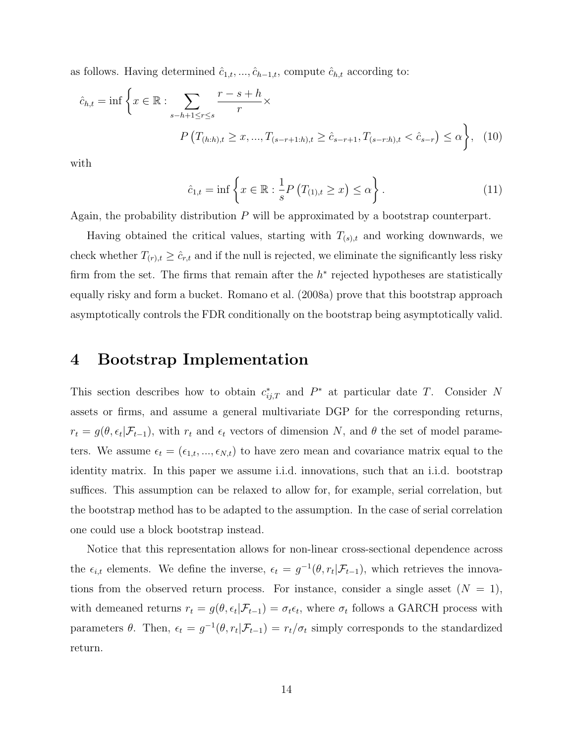as follows. Having determined  $\hat{c}_{1,t}, \dots, \hat{c}_{h-1,t}$ , compute  $\hat{c}_{h,t}$  according to:

$$
\hat{c}_{h,t} = \inf \left\{ x \in \mathbb{R} : \sum_{s-h+1 \le r \le s} \frac{r-s+h}{r} \times P\left(T_{(h:h),t} \ge x, \dots, T_{(s-r+1:h),t} \ge \hat{c}_{s-r+1}, T_{(s-r:h),t} < \hat{c}_{s-r}\right) \le \alpha \right\}, \tag{10}
$$

with

$$
\hat{c}_{1,t} = \inf \left\{ x \in \mathbb{R} : \frac{1}{s} P\left(T_{(1),t} \ge x\right) \le \alpha \right\}.
$$
\n(11)

Again, the probability distribution  $P$  will be approximated by a bootstrap counterpart.

Having obtained the critical values, starting with  $T_{(s),t}$  and working downwards, we check whether  $T_{(r),t} \geq \hat{c}_{r,t}$  and if the null is rejected, we eliminate the significantly less risky firm from the set. The firms that remain after the  $h^*$  rejected hypotheses are statistically equally risky and form a bucket. Romano et al. (2008a) prove that this bootstrap approach asymptotically controls the FDR conditionally on the bootstrap being asymptotically valid.

### 4 Bootstrap Implementation

This section describes how to obtain  $c_{ij,T}^*$  and  $P^*$  at particular date T. Consider N assets or firms, and assume a general multivariate DGP for the corresponding returns,  $r_t = g(\theta, \epsilon_t | \mathcal{F}_{t-1})$ , with  $r_t$  and  $\epsilon_t$  vectors of dimension N, and  $\theta$  the set of model parameters. We assume  $\epsilon_t = (\epsilon_{1,t}, ..., \epsilon_{N,t})$  to have zero mean and covariance matrix equal to the identity matrix. In this paper we assume i.i.d. innovations, such that an i.i.d. bootstrap suffices. This assumption can be relaxed to allow for, for example, serial correlation, but the bootstrap method has to be adapted to the assumption. In the case of serial correlation one could use a block bootstrap instead.

Notice that this representation allows for non-linear cross-sectional dependence across the  $\epsilon_{i,t}$  elements. We define the inverse,  $\epsilon_t = g^{-1}(\theta, r_t | \mathcal{F}_{t-1})$ , which retrieves the innovations from the observed return process. For instance, consider a single asset  $(N = 1)$ , with demeaned returns  $r_t = g(\theta, \epsilon_t | \mathcal{F}_{t-1}) = \sigma_t \epsilon_t$ , where  $\sigma_t$  follows a GARCH process with parameters  $\theta$ . Then,  $\epsilon_t = g^{-1}(\theta, r_t | \mathcal{F}_{t-1}) = r_t / \sigma_t$  simply corresponds to the standardized return.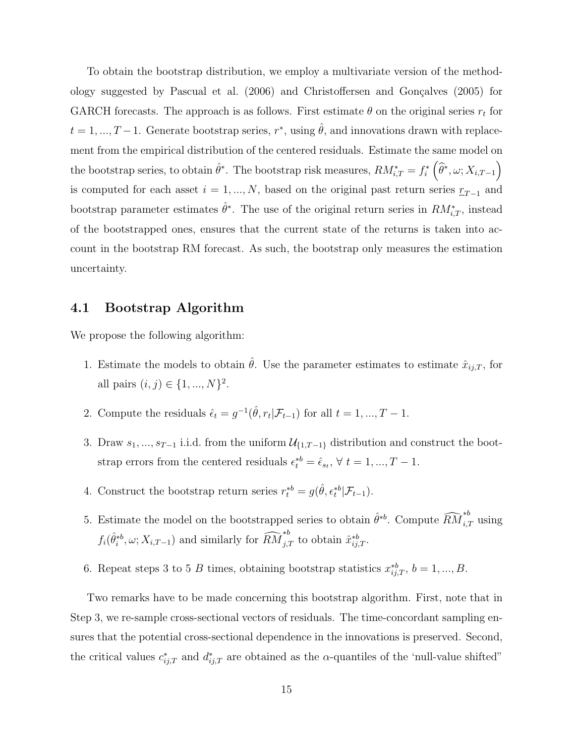To obtain the bootstrap distribution, we employ a multivariate version of the methodology suggested by Pascual et al. (2006) and Christoffersen and Gonçalves (2005) for GARCH forecasts. The approach is as follows. First estimate  $\theta$  on the original series  $r_t$  for  $t = 1, ..., T-1$ . Generate bootstrap series,  $r^*$ , using  $\hat{\theta}$ , and innovations drawn with replacement from the empirical distribution of the centered residuals. Estimate the same model on the bootstrap series, to obtain  $\hat{\theta}^*$ . The bootstrap risk measures,  $RM^*_{i,T} = f^*_i(\hat{\theta}^*, \omega; X_{i,T-1})$ is computed for each asset  $i = 1, ..., N$ , based on the original past return series  $r_{T-1}$  and bootstrap parameter estimates  $\hat{\theta}^*$ . The use of the original return series in  $RM_{i,T}^*$ , instead of the bootstrapped ones, ensures that the current state of the returns is taken into account in the bootstrap RM forecast. As such, the bootstrap only measures the estimation uncertainty.

#### 4.1 Bootstrap Algorithm

We propose the following algorithm:

- 1. Estimate the models to obtain  $\hat{\theta}$ . Use the parameter estimates to estimate  $\hat{x}_{ij,T}$ , for all pairs  $(i, j) \in \{1, ..., N\}^2$ .
- 2. Compute the residuals  $\hat{\epsilon}_t = g^{-1}(\hat{\theta}, r_t | \mathcal{F}_{t-1})$  for all  $t = 1, ..., T 1$ .
- 3. Draw  $s_1, ..., s_{T-1}$  i.i.d. from the uniform  $\mathcal{U}_{\{1,T-1\}}$  distribution and construct the bootstrap errors from the centered residuals  $\epsilon_t^{*b} = \hat{\epsilon}_{s_t}, \forall t = 1, ..., T - 1$ .
- 4. Construct the bootstrap return series  $r_t^{*b} = g(\hat{\theta}, \epsilon_t^{*b} | \mathcal{F}_{t-1}).$
- 5. Estimate the model on the bootstrapped series to obtain  $\hat{\theta}^{*b}$ . Compute  $\widehat{RM}^{*b}_{i,T}$  using  $f_i(\hat{\theta}_i^{*b}, \omega; X_{i,T-1})$  and similarly for  $\widehat{RM}^{*b}_{j,T}$  to obtain  $\hat{x}_{ij,T}^{*b}$ .
- 6. Repeat steps 3 to 5 B times, obtaining bootstrap statistics  $x_{ij,T}^{*b}$ ,  $b = 1, ..., B$ .

Two remarks have to be made concerning this bootstrap algorithm. First, note that in Step 3, we re-sample cross-sectional vectors of residuals. The time-concordant sampling ensures that the potential cross-sectional dependence in the innovations is preserved. Second, the critical values  $c_{ij,T}^*$  and  $d_{ij,T}^*$  are obtained as the  $\alpha$ -quantiles of the 'null-value shifted"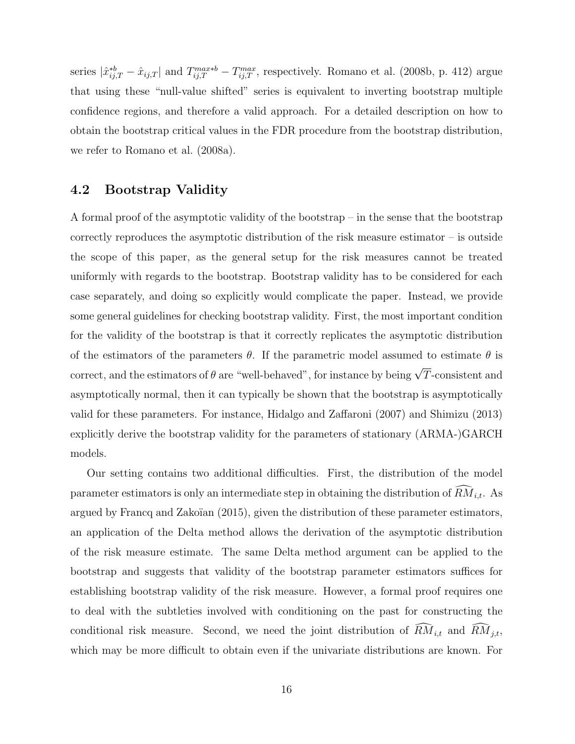series  $|\hat{x}_{ij,T}^{*b} - \hat{x}_{ij,T}|$  and  $T_{ij,T}^{max+b} - T_{ij,T}^{max}$ , respectively. Romano et al. (2008b, p. 412) argue that using these "null-value shifted" series is equivalent to inverting bootstrap multiple confidence regions, and therefore a valid approach. For a detailed description on how to obtain the bootstrap critical values in the FDR procedure from the bootstrap distribution, we refer to Romano et al. (2008a).

### 4.2 Bootstrap Validity

A formal proof of the asymptotic validity of the bootstrap – in the sense that the bootstrap correctly reproduces the asymptotic distribution of the risk measure estimator – is outside the scope of this paper, as the general setup for the risk measures cannot be treated uniformly with regards to the bootstrap. Bootstrap validity has to be considered for each case separately, and doing so explicitly would complicate the paper. Instead, we provide some general guidelines for checking bootstrap validity. First, the most important condition for the validity of the bootstrap is that it correctly replicates the asymptotic distribution of the estimators of the parameters  $\theta$ . If the parametric model assumed to estimate  $\theta$  is correct, and the estimators of  $\theta$  are "well-behaved", for instance by being  $\sqrt{T}$ -consistent and asymptotically normal, then it can typically be shown that the bootstrap is asymptotically valid for these parameters. For instance, Hidalgo and Zaffaroni (2007) and Shimizu (2013) explicitly derive the bootstrap validity for the parameters of stationary (ARMA-)GARCH models.

Our setting contains two additional difficulties. First, the distribution of the model parameter estimators is only an intermediate step in obtaining the distribution of  $RM_{i,t}$ . As argued by Francq and Zakoïan (2015), given the distribution of these parameter estimators, an application of the Delta method allows the derivation of the asymptotic distribution of the risk measure estimate. The same Delta method argument can be applied to the bootstrap and suggests that validity of the bootstrap parameter estimators suffices for establishing bootstrap validity of the risk measure. However, a formal proof requires one to deal with the subtleties involved with conditioning on the past for constructing the conditional risk measure. Second, we need the joint distribution of  $\overline{RM}_{i,t}$  and  $\overline{RM}_{j,t}$ , which may be more difficult to obtain even if the univariate distributions are known. For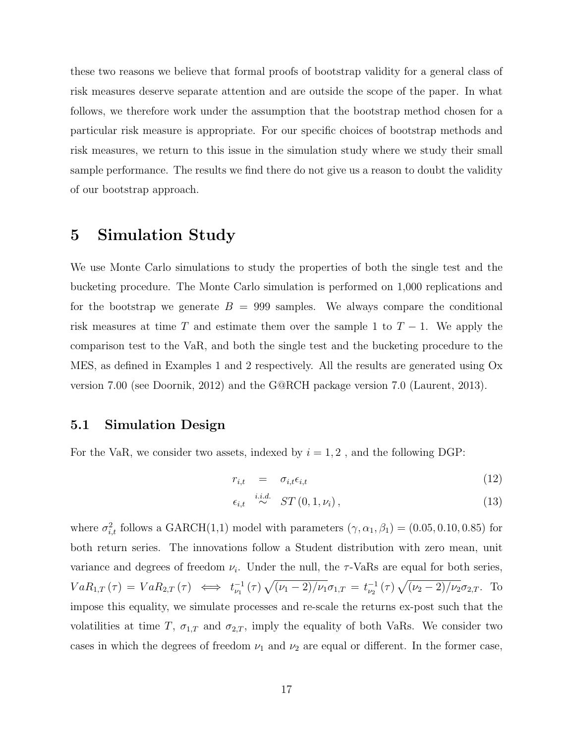these two reasons we believe that formal proofs of bootstrap validity for a general class of risk measures deserve separate attention and are outside the scope of the paper. In what follows, we therefore work under the assumption that the bootstrap method chosen for a particular risk measure is appropriate. For our specific choices of bootstrap methods and risk measures, we return to this issue in the simulation study where we study their small sample performance. The results we find there do not give us a reason to doubt the validity of our bootstrap approach.

## 5 Simulation Study

We use Monte Carlo simulations to study the properties of both the single test and the bucketing procedure. The Monte Carlo simulation is performed on 1,000 replications and for the bootstrap we generate  $B = 999$  samples. We always compare the conditional risk measures at time T and estimate them over the sample 1 to  $T-1$ . We apply the comparison test to the VaR, and both the single test and the bucketing procedure to the MES, as defined in Examples 1 and 2 respectively. All the results are generated using Ox version 7.00 (see Doornik, 2012) and the G@RCH package version 7.0 (Laurent, 2013).

### 5.1 Simulation Design

For the VaR, we consider two assets, indexed by  $i = 1, 2$ , and the following DGP:

$$
r_{i,t} = \sigma_{i,t} \epsilon_{i,t} \tag{12}
$$

$$
\epsilon_{i,t} \stackrel{i.i.d.}{\sim} ST(0,1,\nu_i), \tag{13}
$$

where  $\sigma_{i,t}^2$  follows a GARCH(1,1) model with parameters  $(\gamma, \alpha_1, \beta_1) = (0.05, 0.10, 0.85)$  for both return series. The innovations follow a Student distribution with zero mean, unit variance and degrees of freedom  $\nu_i$ . Under the null, the  $\tau$ -VaRs are equal for both series,  $VaR_{1,T}(\tau) = VaR_{2,T}(\tau) \iff t_{\nu_1}^{-1}(\tau) \sqrt{(\nu_1-2)/\nu_1} \sigma_{1,T} = t_{\nu_2}^{-1}(\tau) \sqrt{(\nu_2-2)/\nu_2} \sigma_{2,T}$ . To impose this equality, we simulate processes and re-scale the returns ex-post such that the volatilities at time T,  $\sigma_{1,T}$  and  $\sigma_{2,T}$ , imply the equality of both VaRs. We consider two cases in which the degrees of freedom  $\nu_1$  and  $\nu_2$  are equal or different. In the former case,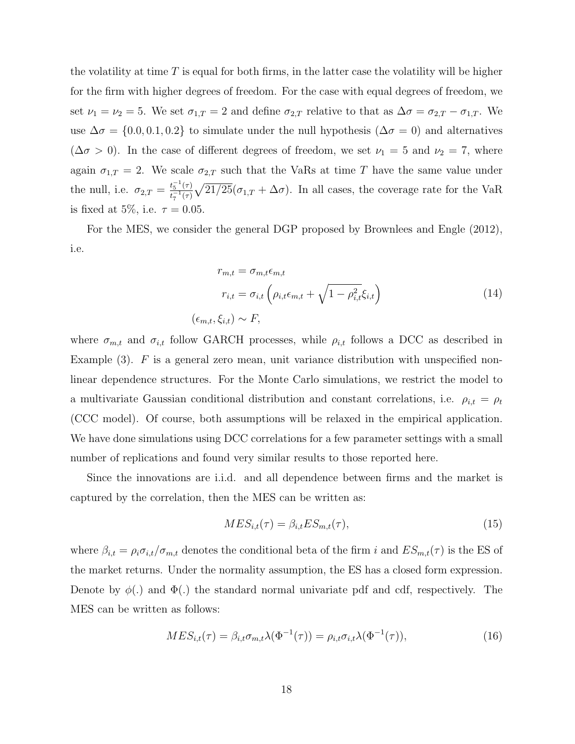the volatility at time  $T$  is equal for both firms, in the latter case the volatility will be higher for the firm with higher degrees of freedom. For the case with equal degrees of freedom, we set  $\nu_1 = \nu_2 = 5$ . We set  $\sigma_{1,T} = 2$  and define  $\sigma_{2,T}$  relative to that as  $\Delta \sigma = \sigma_{2,T} - \sigma_{1,T}$ . We use  $\Delta \sigma = \{0.0, 0.1, 0.2\}$  to simulate under the null hypothesis  $(\Delta \sigma = 0)$  and alternatives  $(\Delta \sigma > 0)$ . In the case of different degrees of freedom, we set  $\nu_1 = 5$  and  $\nu_2 = 7$ , where again  $\sigma_{1,T} = 2$ . We scale  $\sigma_{2,T}$  such that the VaRs at time T have the same value under the null, i.e.  $\sigma_{2,T} = \frac{t_5^{-1}(\tau)}{t_5^{-1}(\tau)}$  $\frac{t_5^{-1}(\tau)}{t_7^{-1}(\tau)}\sqrt{21/25}(\sigma_{1,T}+\Delta\sigma)$ . In all cases, the coverage rate for the VaR is fixed at 5%, i.e.  $\tau = 0.05$ .

For the MES, we consider the general DGP proposed by Brownlees and Engle (2012), i.e.

 $(\epsilon_m)$ 

$$
r_{m,t} = \sigma_{m,t} \epsilon_{m,t}
$$
  
\n
$$
r_{i,t} = \sigma_{i,t} \left( \rho_{i,t} \epsilon_{m,t} + \sqrt{1 - \rho_{i,t}^2} \xi_{i,t} \right)
$$
  
\n
$$
r_{i,t}, \xi_{i,t} \right) \sim F,
$$
\n(14)

where  $\sigma_{m,t}$  and  $\sigma_{i,t}$  follow GARCH processes, while  $\rho_{i,t}$  follows a DCC as described in Example  $(3)$ . F is a general zero mean, unit variance distribution with unspecified nonlinear dependence structures. For the Monte Carlo simulations, we restrict the model to a multivariate Gaussian conditional distribution and constant correlations, i.e.  $\rho_{i,t} = \rho_t$ (CCC model). Of course, both assumptions will be relaxed in the empirical application. We have done simulations using DCC correlations for a few parameter settings with a small number of replications and found very similar results to those reported here.

Since the innovations are i.i.d. and all dependence between firms and the market is captured by the correlation, then the MES can be written as:

$$
MES_{i,t}(\tau) = \beta_{i,t} ES_{m,t}(\tau), \tag{15}
$$

where  $\beta_{i,t} = \rho_i \sigma_{i,t}/\sigma_{m,t}$  denotes the conditional beta of the firm i and  $ES_{m,t}(\tau)$  is the ES of the market returns. Under the normality assumption, the ES has a closed form expression. Denote by  $\phi(.)$  and  $\Phi(.)$  the standard normal univariate pdf and cdf, respectively. The MES can be written as follows:

$$
MES_{i,t}(\tau) = \beta_{i,t}\sigma_{m,t}\lambda(\Phi^{-1}(\tau)) = \rho_{i,t}\sigma_{i,t}\lambda(\Phi^{-1}(\tau)),
$$
\n(16)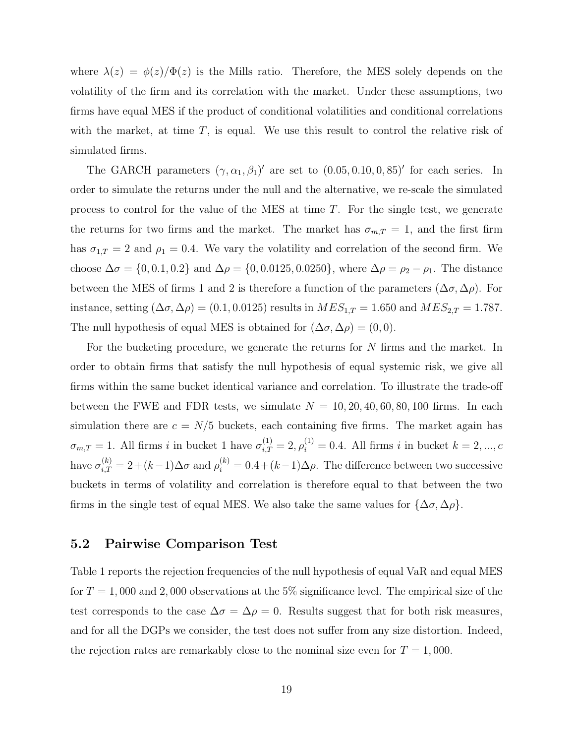where  $\lambda(z) = \phi(z)/\Phi(z)$  is the Mills ratio. Therefore, the MES solely depends on the volatility of the firm and its correlation with the market. Under these assumptions, two firms have equal MES if the product of conditional volatilities and conditional correlations with the market, at time  $T$ , is equal. We use this result to control the relative risk of simulated firms.

The GARCH parameters  $(\gamma, \alpha_1, \beta_1)'$  are set to  $(0.05, 0.10, 0, 85)'$  for each series. In order to simulate the returns under the null and the alternative, we re-scale the simulated process to control for the value of the MES at time T. For the single test, we generate the returns for two firms and the market. The market has  $\sigma_{m,T} = 1$ , and the first firm has  $\sigma_{1,T} = 2$  and  $\rho_1 = 0.4$ . We vary the volatility and correlation of the second firm. We choose  $\Delta \sigma = \{0, 0.1, 0.2\}$  and  $\Delta \rho = \{0, 0.0125, 0.0250\}$ , where  $\Delta \rho = \rho_2 - \rho_1$ . The distance between the MES of firms 1 and 2 is therefore a function of the parameters  $(\Delta \sigma, \Delta \rho)$ . For instance, setting  $(\Delta \sigma, \Delta \rho) = (0.1, 0.0125)$  results in  $MES_{1,T} = 1.650$  and  $MES_{2,T} = 1.787$ . The null hypothesis of equal MES is obtained for  $(\Delta \sigma, \Delta \rho) = (0, 0)$ .

For the bucketing procedure, we generate the returns for N firms and the market. In order to obtain firms that satisfy the null hypothesis of equal systemic risk, we give all firms within the same bucket identical variance and correlation. To illustrate the trade-off between the FWE and FDR tests, we simulate  $N = 10, 20, 40, 60, 80, 100$  firms. In each simulation there are  $c = N/5$  buckets, each containing five firms. The market again has  $\sigma_{m,T} = 1$ . All firms i in bucket 1 have  $\sigma_{i,T}^{(1)} = 2, \rho_i^{(1)} = 0.4$ . All firms i in bucket  $k = 2, ..., c$ have  $\sigma_{i,T}^{(k)} = 2 + (k-1)\Delta\sigma$  and  $\rho_i^{(k)} = 0.4 + (k-1)\Delta\rho$ . The difference between two successive buckets in terms of volatility and correlation is therefore equal to that between the two firms in the single test of equal MES. We also take the same values for  $\{\Delta \sigma, \Delta \rho\}$ .

#### 5.2 Pairwise Comparison Test

Table 1 reports the rejection frequencies of the null hypothesis of equal VaR and equal MES for  $T = 1,000$  and 2,000 observations at the 5% significance level. The empirical size of the test corresponds to the case  $\Delta \sigma = \Delta \rho = 0$ . Results suggest that for both risk measures, and for all the DGPs we consider, the test does not suffer from any size distortion. Indeed, the rejection rates are remarkably close to the nominal size even for  $T = 1,000$ .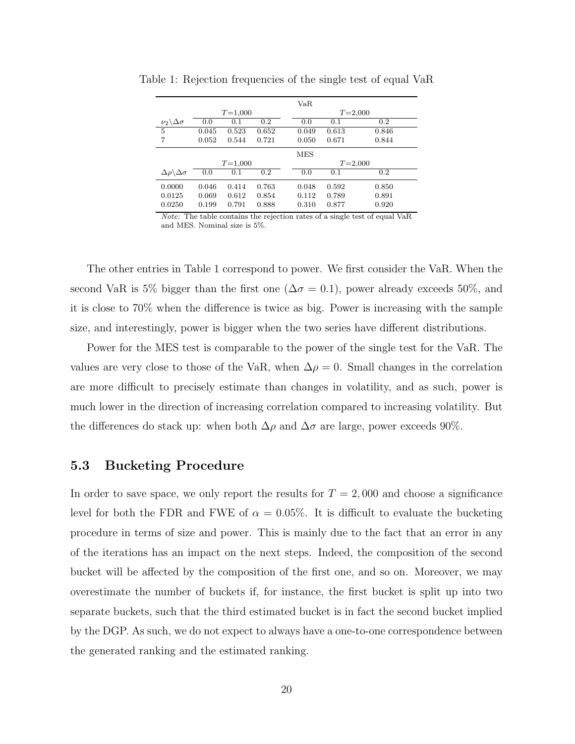|                                        |       |             |       | VaR         |       |             |  |  |  |
|----------------------------------------|-------|-------------|-------|-------------|-------|-------------|--|--|--|
|                                        |       | $T = 1,000$ |       | $T = 2,000$ |       |             |  |  |  |
| $\nu_2 \backslash \Delta \sigma$       | 0.0   | 0.1         | 0.2   | 0.0         | 0.1   | 0.2         |  |  |  |
| 5                                      | 0.045 | 0.523       | 0.652 | 0.049       | 0.613 | 0.846       |  |  |  |
| 7                                      | 0.052 | 0.544       | 0.721 | 0.050       | 0.671 | 0.844       |  |  |  |
|                                        |       |             |       | <b>MES</b>  |       |             |  |  |  |
|                                        |       | $T = 1,000$ |       |             |       | $T = 2,000$ |  |  |  |
| $\Delta \rho \backslash \Delta \sigma$ | 0.0   | 0.1         | 0.2   | 0.0         | 0.1   | 0.2         |  |  |  |
| 0.0000                                 | 0.046 | 0.414       | 0.763 | 0.048       | 0.592 | 0.850       |  |  |  |
| 0.0125                                 | 0.069 | 0.612       | 0.854 | 0.112       | 0.789 | 0.891       |  |  |  |
| 0.0250                                 | 0.199 | 0.791       | 0.888 | 0.310       | 0.877 | 0.920       |  |  |  |

Table 1: Rejection frequencies of the single test of equal VaR

Note: The table contains the rejection rates of a single test of equal VaR and MES. Nominal size is 5%.

The other entries in Table 1 correspond to power. We first consider the VaR. When the second VaR is 5% bigger than the first one ( $\Delta \sigma = 0.1$ ), power already exceeds 50%, and it is close to 70% when the difference is twice as big. Power is increasing with the sample size, and interestingly, power is bigger when the two series have different distributions.

Power for the MES test is comparable to the power of the single test for the VaR. The values are very close to those of the VaR, when  $\Delta \rho = 0$ . Small changes in the correlation are more difficult to precisely estimate than changes in volatility, and as such, power is much lower in the direction of increasing correlation compared to increasing volatility. But the differences do stack up: when both  $\Delta \rho$  and  $\Delta \sigma$  are large, power exceeds 90%.

### 5.3 Bucketing Procedure

In order to save space, we only report the results for  $T = 2{,}000$  and choose a significance level for both the FDR and FWE of  $\alpha = 0.05\%$ . It is difficult to evaluate the bucketing procedure in terms of size and power. This is mainly due to the fact that an error in any of the iterations has an impact on the next steps. Indeed, the composition of the second bucket will be affected by the composition of the first one, and so on. Moreover, we may overestimate the number of buckets if, for instance, the first bucket is split up into two separate buckets, such that the third estimated bucket is in fact the second bucket implied by the DGP. As such, we do not expect to always have a one-to-one correspondence between the generated ranking and the estimated ranking.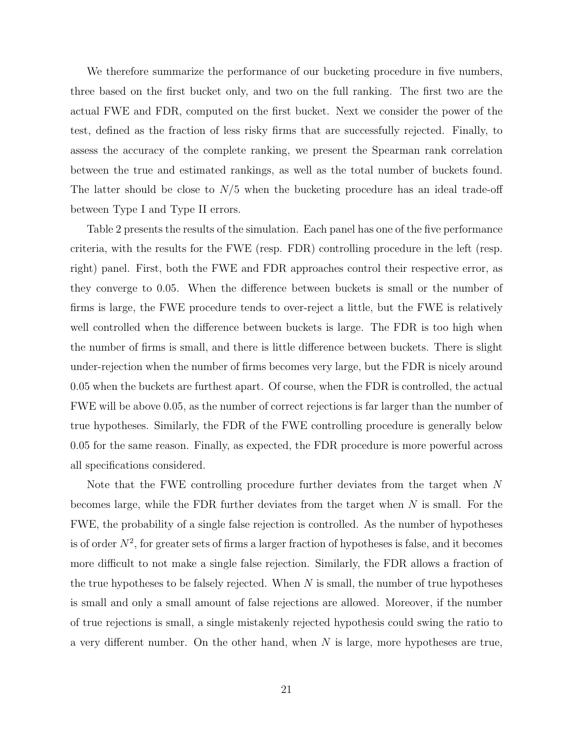We therefore summarize the performance of our bucketing procedure in five numbers, three based on the first bucket only, and two on the full ranking. The first two are the actual FWE and FDR, computed on the first bucket. Next we consider the power of the test, defined as the fraction of less risky firms that are successfully rejected. Finally, to assess the accuracy of the complete ranking, we present the Spearman rank correlation between the true and estimated rankings, as well as the total number of buckets found. The latter should be close to  $N/5$  when the bucketing procedure has an ideal trade-off between Type I and Type II errors.

Table 2 presents the results of the simulation. Each panel has one of the five performance criteria, with the results for the FWE (resp. FDR) controlling procedure in the left (resp. right) panel. First, both the FWE and FDR approaches control their respective error, as they converge to 0.05. When the difference between buckets is small or the number of firms is large, the FWE procedure tends to over-reject a little, but the FWE is relatively well controlled when the difference between buckets is large. The FDR is too high when the number of firms is small, and there is little difference between buckets. There is slight under-rejection when the number of firms becomes very large, but the FDR is nicely around 0.05 when the buckets are furthest apart. Of course, when the FDR is controlled, the actual FWE will be above 0.05, as the number of correct rejections is far larger than the number of true hypotheses. Similarly, the FDR of the FWE controlling procedure is generally below 0.05 for the same reason. Finally, as expected, the FDR procedure is more powerful across all specifications considered.

Note that the FWE controlling procedure further deviates from the target when N becomes large, while the FDR further deviates from the target when  $N$  is small. For the FWE, the probability of a single false rejection is controlled. As the number of hypotheses is of order  $N^2$ , for greater sets of firms a larger fraction of hypotheses is false, and it becomes more difficult to not make a single false rejection. Similarly, the FDR allows a fraction of the true hypotheses to be falsely rejected. When  $N$  is small, the number of true hypotheses is small and only a small amount of false rejections are allowed. Moreover, if the number of true rejections is small, a single mistakenly rejected hypothesis could swing the ratio to a very different number. On the other hand, when  $N$  is large, more hypotheses are true,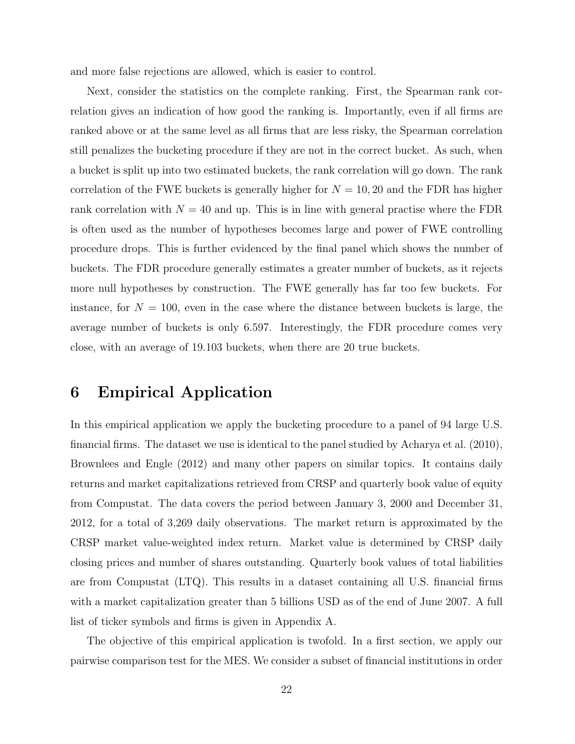and more false rejections are allowed, which is easier to control.

Next, consider the statistics on the complete ranking. First, the Spearman rank correlation gives an indication of how good the ranking is. Importantly, even if all firms are ranked above or at the same level as all firms that are less risky, the Spearman correlation still penalizes the bucketing procedure if they are not in the correct bucket. As such, when a bucket is split up into two estimated buckets, the rank correlation will go down. The rank correlation of the FWE buckets is generally higher for  $N = 10, 20$  and the FDR has higher rank correlation with  $N = 40$  and up. This is in line with general practise where the FDR is often used as the number of hypotheses becomes large and power of FWE controlling procedure drops. This is further evidenced by the final panel which shows the number of buckets. The FDR procedure generally estimates a greater number of buckets, as it rejects more null hypotheses by construction. The FWE generally has far too few buckets. For instance, for  $N = 100$ , even in the case where the distance between buckets is large, the average number of buckets is only 6.597. Interestingly, the FDR procedure comes very close, with an average of 19.103 buckets, when there are 20 true buckets.

## 6 Empirical Application

In this empirical application we apply the bucketing procedure to a panel of 94 large U.S. financial firms. The dataset we use is identical to the panel studied by Acharya et al. (2010), Brownlees and Engle (2012) and many other papers on similar topics. It contains daily returns and market capitalizations retrieved from CRSP and quarterly book value of equity from Compustat. The data covers the period between January 3, 2000 and December 31, 2012, for a total of 3,269 daily observations. The market return is approximated by the CRSP market value-weighted index return. Market value is determined by CRSP daily closing prices and number of shares outstanding. Quarterly book values of total liabilities are from Compustat (LTQ). This results in a dataset containing all U.S. financial firms with a market capitalization greater than 5 billions USD as of the end of June 2007. A full list of ticker symbols and firms is given in Appendix A.

The objective of this empirical application is twofold. In a first section, we apply our pairwise comparison test for the MES. We consider a subset of financial institutions in order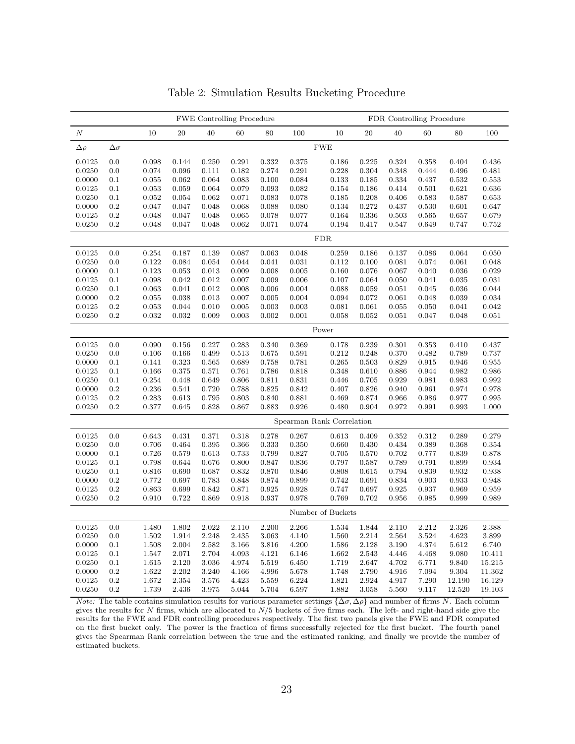|               |                 |       | <b>FWE Controlling Procedure</b> |           |       |       |       | FDR Controlling Procedure |       |       |       |        |        |
|---------------|-----------------|-------|----------------------------------|-----------|-------|-------|-------|---------------------------|-------|-------|-------|--------|--------|
| $\cal N$      |                 | 10    | 20                               | 40        | 60    | 80    | 100   | 10                        | 20    | 40    | 60    | 80     | 100    |
| $\Delta \rho$ | $\Delta \sigma$ |       |                                  |           |       |       |       | <b>FWE</b>                |       |       |       |        |        |
| 0.0125        | 0.0             | 0.098 | 0.144                            | 0.250     | 0.291 | 0.332 | 0.375 | 0.186                     | 0.225 | 0.324 | 0.358 | 0.404  | 0.436  |
| 0.0250        | $0.0\,$         | 0.074 | 0.096                            | 0.111     | 0.182 | 0.274 | 0.291 | 0.228                     | 0.304 | 0.348 | 0.444 | 0.496  | 0.481  |
| 0.0000        | 0.1             | 0.055 | 0.062                            | 0.064     | 0.083 | 0.100 | 0.084 | 0.133                     | 0.185 | 0.334 | 0.437 | 0.532  | 0.553  |
| 0.0125        | 0.1             | 0.053 | 0.059                            | 0.064     | 0.079 | 0.093 | 0.082 | 0.154                     | 0.186 | 0.414 | 0.501 | 0.621  | 0.636  |
| 0.0250        | 0.1             | 0.052 | 0.054                            | 0.062     | 0.071 | 0.083 | 0.078 | 0.185                     | 0.208 | 0.406 | 0.583 | 0.587  | 0.653  |
| 0.0000        | $\rm 0.2$       | 0.047 | 0.047                            | 0.048     | 0.068 | 0.088 | 0.080 | 0.134                     | 0.272 | 0.437 | 0.530 | 0.601  | 0.647  |
| 0.0125        | $\rm 0.2$       | 0.048 | 0.047                            | 0.048     | 0.065 | 0.078 | 0.077 | 0.164                     | 0.336 | 0.503 | 0.565 | 0.657  | 0.679  |
| 0.0250        | 0.2             | 0.048 | 0.047                            | 0.048     | 0.062 | 0.071 | 0.074 | 0.194                     | 0.417 | 0.547 | 0.649 | 0.747  | 0.752  |
|               |                 |       |                                  |           |       |       |       | FDR                       |       |       |       |        |        |
| 0.0125        | 0.0             | 0.254 | 0.187                            | 0.139     | 0.087 | 0.063 | 0.048 | 0.259                     | 0.186 | 0.137 | 0.086 | 0.064  | 0.050  |
| 0.0250        | $0.0\,$         | 0.122 | 0.084                            | 0.054     | 0.044 | 0.041 | 0.031 | 0.112                     | 0.100 | 0.081 | 0.074 | 0.061  | 0.048  |
| 0.0000        | 0.1             | 0.123 | 0.053                            | 0.013     | 0.009 | 0.008 | 0.005 | 0.160                     | 0.076 | 0.067 | 0.040 | 0.036  | 0.029  |
| 0.0125        | 0.1             | 0.098 | 0.042                            | 0.012     | 0.007 | 0.009 | 0.006 | 0.107                     | 0.064 | 0.050 | 0.041 | 0.035  | 0.031  |
| 0.0250        | 0.1             | 0.063 | 0.041                            | 0.012     | 0.008 | 0.006 | 0.004 | 0.088                     | 0.059 | 0.051 | 0.045 | 0.036  | 0.044  |
| 0.0000        | $\rm 0.2$       | 0.055 | 0.038                            | 0.013     | 0.007 | 0.005 | 0.004 | 0.094                     | 0.072 | 0.061 | 0.048 | 0.039  | 0.034  |
| 0.0125        | $\rm 0.2$       | 0.053 | 0.044                            | 0.010     | 0.005 | 0.003 | 0.003 | 0.081                     | 0.061 | 0.055 | 0.050 | 0.041  | 0.042  |
| 0.0250        | 0.2             | 0.032 | 0.032                            | 0.009     | 0.003 | 0.002 | 0.001 | 0.058                     | 0.052 | 0.051 | 0.047 | 0.048  | 0.051  |
|               |                 |       | Power                            |           |       |       |       |                           |       |       |       |        |        |
| 0.0125        | 0.0             | 0.090 | 0.156                            | 0.227     | 0.283 | 0.340 | 0.369 | 0.178                     | 0.239 | 0.301 | 0.353 | 0.410  | 0.437  |
| 0.0250        | $0.0\,$         | 0.106 | 0.166                            | 0.499     | 0.513 | 0.675 | 0.591 | 0.212                     | 0.248 | 0.370 | 0.482 | 0.789  | 0.737  |
| 0.0000        | 0.1             | 0.141 | 0.323                            | 0.565     | 0.689 | 0.758 | 0.781 | 0.265                     | 0.503 | 0.829 | 0.915 | 0.946  | 0.955  |
| 0.0125        | 0.1             | 0.166 | 0.375                            | 0.571     | 0.761 | 0.786 | 0.818 | 0.348                     | 0.610 | 0.886 | 0.944 | 0.982  | 0.986  |
| 0.0250        | 0.1             | 0.254 | 0.448                            | 0.649     | 0.806 | 0.811 | 0.831 | 0.446                     | 0.705 | 0.929 | 0.981 | 0.983  | 0.992  |
| 0.0000        | $\rm 0.2$       | 0.236 | 0.541                            | 0.720     | 0.788 | 0.825 | 0.842 | 0.407                     | 0.826 | 0.940 | 0.961 | 0.974  | 0.978  |
| 0.0125        | $\rm 0.2$       | 0.283 | 0.613                            | 0.795     | 0.803 | 0.840 | 0.881 | 0.469                     | 0.874 | 0.966 | 0.986 | 0.977  | 0.995  |
| 0.0250        | $\rm 0.2$       | 0.377 | 0.645                            | 0.828     | 0.867 | 0.883 | 0.926 | 0.480                     | 0.904 | 0.972 | 0.991 | 0.993  | 1.000  |
|               |                 |       |                                  |           |       |       |       | Spearman Rank Correlation |       |       |       |        |        |
| 0.0125        | 0.0             | 0.643 | 0.431                            | 0.371     | 0.318 | 0.278 | 0.267 | 0.613                     | 0.409 | 0.352 | 0.312 | 0.289  | 0.279  |
| 0.0250        | 0.0             | 0.706 | 0.464                            | 0.395     | 0.366 | 0.333 | 0.350 | 0.660                     | 0.430 | 0.434 | 0.389 | 0.368  | 0.354  |
| 0.0000        | 0.1             | 0.726 | 0.579                            | 0.613     | 0.733 | 0.799 | 0.827 | 0.705                     | 0.570 | 0.702 | 0.777 | 0.839  | 0.878  |
| 0.0125        | 0.1             | 0.798 | 0.644                            | 0.676     | 0.800 | 0.847 | 0.836 | 0.797                     | 0.587 | 0.789 | 0.791 | 0.899  | 0.934  |
| 0.0250        | 0.1             | 0.816 | 0.690                            | 0.687     | 0.832 | 0.870 | 0.846 | 0.808                     | 0.615 | 0.794 | 0.839 | 0.932  | 0.938  |
| 0.0000        | 0.2             | 0.772 | 0.697                            | 0.783     | 0.848 | 0.874 | 0.899 | 0.742                     | 0.691 | 0.834 | 0.903 | 0.933  | 0.948  |
| 0.0125        | $\rm 0.2$       | 0.863 | 0.699                            | 0.842     | 0.871 | 0.925 | 0.928 | 0.747                     | 0.697 | 0.925 | 0.937 | 0.969  | 0.959  |
| 0.0250        | $\rm 0.2$       | 0.910 | 0.722                            | 0.869     | 0.918 | 0.937 | 0.978 | 0.769                     | 0.702 | 0.956 | 0.985 | 0.999  | 0.989  |
|               |                 |       |                                  |           |       |       |       | Number of Buckets         |       |       |       |        |        |
| 0.0125        | 0.0             | 1.480 | 1.802                            | 2.022     | 2.110 | 2.200 | 2.266 | 1.534                     | 1.844 | 2.110 | 2.212 | 2.326  | 2.388  |
| 0.0250        | 0.0             | 1.502 | 1.914                            | $2.248\,$ | 2.435 | 3.063 | 4.140 | 1.560                     | 2.214 | 2.564 | 3.524 | 4.623  | 3.899  |
| 0.0000        | 0.1             | 1.508 | 2.004                            | 2.582     | 3.166 | 3.816 | 4.200 | 1.586                     | 2.128 | 3.190 | 4.374 | 5.612  | 6.740  |
| 0.0125        | 0.1             | 1.547 | 2.071                            | 2.704     | 4.093 | 4.121 | 6.146 | 1.662                     | 2.543 | 4.446 | 4.468 | 9.080  | 10.411 |
| 0.0250        | 0.1             | 1.615 | 2.120                            | 3.036     | 4.974 | 5.519 | 6.450 | 1.719                     | 2.647 | 4.702 | 6.771 | 9.840  | 15.215 |
| 0.0000        | 0.2             | 1.622 | 2.202                            | 3.240     | 4.166 | 4.996 | 5.678 | 1.748                     | 2.790 | 4.916 | 7.094 | 9.304  | 11.362 |
| 0.0125        | $\rm 0.2$       | 1.672 | 2.354                            | 3.576     | 4.423 | 5.559 | 6.224 | 1.821                     | 2.924 | 4.917 | 7.290 | 12.190 | 16.129 |
| 0.0250        | $\rm 0.2$       | 1.739 | 2.436                            | 3.975     | 5.044 | 5.704 | 6.597 | 1.882                     | 3.058 | 5.560 | 9.117 | 12.520 | 19.103 |

Table 2: Simulation Results Bucketing Procedure

Note: The table contains simulation results for various parameter settings  $\{\Delta \sigma, \Delta \rho\}$  and number of firms N. Each column gives the results for N firms, which are allocated to  $N/5$  buckets of five firms each. The left- and right-hand side give the results for the FWE and FDR controlling procedures respectively. The first two panels give the FWE and FDR computed on the first bucket only. The power is the fraction of firms successfully rejected for the first bucket. The fourth panel gives the Spearman Rank correlation between the true and the estimated ranking, and finally we provide the number of estimated buckets.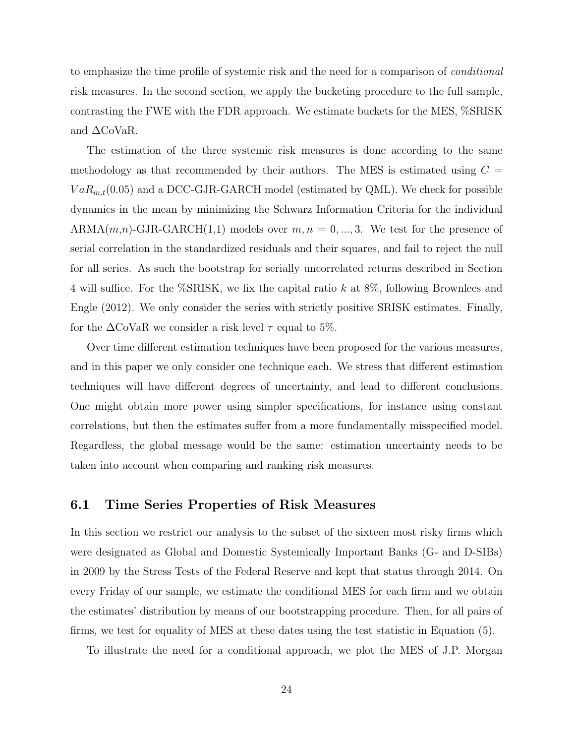to emphasize the time profile of systemic risk and the need for a comparison of conditional risk measures. In the second section, we apply the bucketing procedure to the full sample, contrasting the FWE with the FDR approach. We estimate buckets for the MES, %SRISK and ∆CoVaR.

The estimation of the three systemic risk measures is done according to the same methodology as that recommended by their authors. The MES is estimated using  $C =$  $VaR_{m,t}(0.05)$  and a DCC-GJR-GARCH model (estimated by QML). We check for possible dynamics in the mean by minimizing the Schwarz Information Criteria for the individual ARMA $(m, n)$ -GJR-GARCH $(1, 1)$  models over  $m, n = 0, ..., 3$ . We test for the presence of serial correlation in the standardized residuals and their squares, and fail to reject the null for all series. As such the bootstrap for serially uncorrelated returns described in Section 4 will suffice. For the %SRISK, we fix the capital ratio k at 8%, following Brownlees and Engle (2012). We only consider the series with strictly positive SRISK estimates. Finally, for the  $\Delta$ CoVaR we consider a risk level  $\tau$  equal to 5%.

Over time different estimation techniques have been proposed for the various measures, and in this paper we only consider one technique each. We stress that different estimation techniques will have different degrees of uncertainty, and lead to different conclusions. One might obtain more power using simpler specifications, for instance using constant correlations, but then the estimates suffer from a more fundamentally misspecified model. Regardless, the global message would be the same: estimation uncertainty needs to be taken into account when comparing and ranking risk measures.

#### 6.1 Time Series Properties of Risk Measures

In this section we restrict our analysis to the subset of the sixteen most risky firms which were designated as Global and Domestic Systemically Important Banks (G- and D-SIBs) in 2009 by the Stress Tests of the Federal Reserve and kept that status through 2014. On every Friday of our sample, we estimate the conditional MES for each firm and we obtain the estimates' distribution by means of our bootstrapping procedure. Then, for all pairs of firms, we test for equality of MES at these dates using the test statistic in Equation (5).

To illustrate the need for a conditional approach, we plot the MES of J.P. Morgan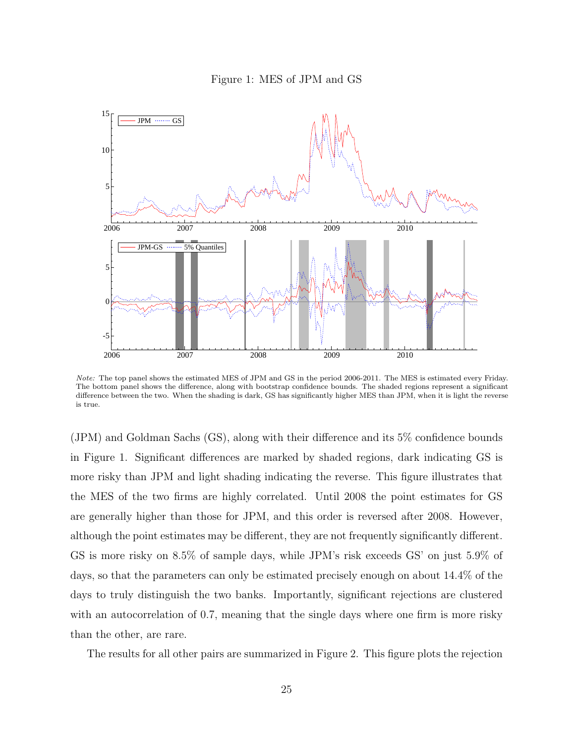

Note: The top panel shows the estimated MES of JPM and GS in the period 2006-2011. The MES is estimated every Friday. The bottom panel shows the difference, along with bootstrap confidence bounds. The shaded regions represent a significant difference between the two. When the shading is dark, GS has significantly higher MES than JPM, when it is light the reverse is true.

(JPM) and Goldman Sachs (GS), along with their difference and its 5% confidence bounds in Figure 1. Significant differences are marked by shaded regions, dark indicating GS is more risky than JPM and light shading indicating the reverse. This figure illustrates that the MES of the two firms are highly correlated. Until 2008 the point estimates for GS are generally higher than those for JPM, and this order is reversed after 2008. However, although the point estimates may be different, they are not frequently significantly different. GS is more risky on 8.5% of sample days, while JPM's risk exceeds GS' on just 5.9% of days, so that the parameters can only be estimated precisely enough on about 14.4% of the days to truly distinguish the two banks. Importantly, significant rejections are clustered with an autocorrelation of 0.7, meaning that the single days where one firm is more risky than the other, are rare.

The results for all other pairs are summarized in Figure 2. This figure plots the rejection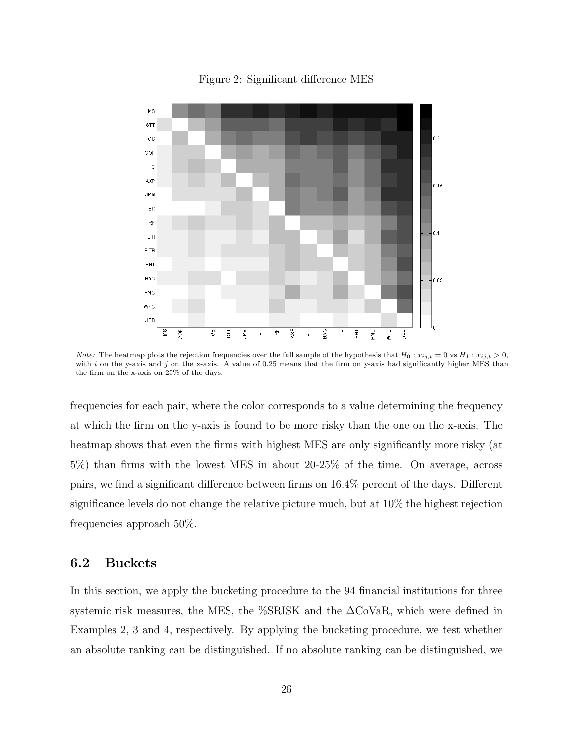

Figure 2: Significant difference MES

*Note:* The heatmap plots the rejection frequencies over the full sample of the hypothesis that  $H_0: x_{ij,t} = 0$  vs  $H_1: x_{ij,t} > 0$ , with  $i$  on the y-axis and  $j$  on the x-axis. A value of 0.25 means that the firm on y-axis had significantly higher MES than the firm on the x-axis on 25% of the days.

frequencies for each pair, where the color corresponds to a value determining the frequency at which the firm on the y-axis is found to be more risky than the one on the x-axis. The heatmap shows that even the firms with highest MES are only significantly more risky (at 5%) than firms with the lowest MES in about 20-25% of the time. On average, across pairs, we find a significant difference between firms on 16.4% percent of the days. Different significance levels do not change the relative picture much, but at 10% the highest rejection frequencies approach 50%.

### 6.2 Buckets

In this section, we apply the bucketing procedure to the 94 financial institutions for three systemic risk measures, the MES, the %SRISK and the  $\Delta$ CoVaR, which were defined in Examples 2, 3 and 4, respectively. By applying the bucketing procedure, we test whether an absolute ranking can be distinguished. If no absolute ranking can be distinguished, we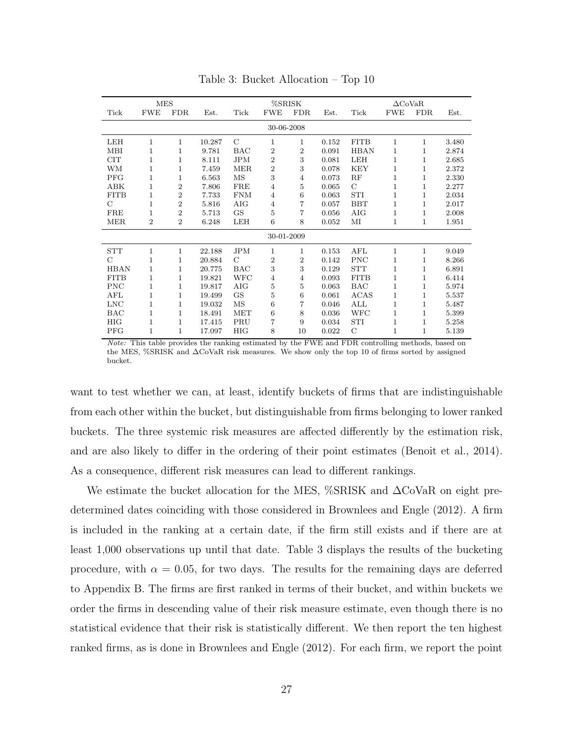|               | <b>MES</b>   |                |        |               | %SRISK         |                |       |             | $\Delta$ CoVaR |            |       |
|---------------|--------------|----------------|--------|---------------|----------------|----------------|-------|-------------|----------------|------------|-------|
| Tick          | <b>FWE</b>   | <b>FDR</b>     | Est.   | Tick          | <b>FWE</b>     | <b>FDR</b>     | Est.  | Tick        | <b>FWE</b>     | <b>FDR</b> | Est.  |
|               |              |                |        |               | 30-06-2008     |                |       |             |                |            |       |
| LEH           | 1            | 1              | 10.287 | $\mathcal{C}$ | $\mathbf{1}$   | $\mathbf{1}$   | 0.152 | <b>FITB</b> | 1              | 1          | 3.480 |
| MBI           | 1            | 1              | 9.781  | BAC           | 2              | 2              | 0.091 | HBAN        | 1              | 1          | 2.874 |
| <b>CIT</b>    | 1            | 1              | 8.111  | <b>JPM</b>    | 2              | 3              | 0.081 | LEH         | 1              | 1          | 2.685 |
| <b>WM</b>     | $\mathbf{1}$ | 1              | 7.459  | <b>MER</b>    | $\overline{2}$ | 3              | 0.078 | <b>KEY</b>  | 1              | 1          | 2.372 |
| <b>PFG</b>    | $\mathbf 1$  | 1              | 6.563  | MS            | 3              | 4              | 0.073 | RF          | 1              | 1          | 2.330 |
| ABK           | $\mathbf 1$  | 2              | 7.806  | FRE           | $\overline{4}$ | 5              | 0.065 | C           | 1              | 1          | 2.277 |
| <b>FITB</b>   | 1            | $\overline{2}$ | 7.733  | <b>FNM</b>    | $\overline{4}$ | 6              | 0.063 | STI         | 1              | 1          | 2.034 |
| $\mathcal{C}$ | $\mathbf{1}$ | $\overline{2}$ | 5.816  | AIG           | 4              | 7              | 0.057 | <b>BBT</b>  | 1              | 1          | 2.017 |
| FRE           | $\mathbf 1$  | 2              | 5.713  | <b>GS</b>     | 5              | $\overline{7}$ | 0.056 | AIG         | 1              | 1          | 2.008 |
| <b>MER</b>    | 2            | 2              | 6.248  | LEH           | 6              | 8              | 0.052 | МI          | 1              | 1          | 1.951 |
|               |              |                |        |               | 30-01-2009     |                |       |             |                |            |       |
| <b>STT</b>    | 1            | 1              | 22.188 | <b>JPM</b>    | $\mathbf{1}$   | $\mathbf{1}$   | 0.153 | AFL         | 1              | 1          | 9.049 |
| $\mathcal{C}$ | 1            | 1              | 20.884 | $\mathcal{C}$ | 2              | $\overline{2}$ | 0.142 | <b>PNC</b>  | 1              | 1          | 8.266 |
| <b>HBAN</b>   | 1            | 1              | 20.775 | <b>BAC</b>    | 3              | 3              | 0.129 | <b>STT</b>  | 1              | 1          | 6.891 |
| <b>FITB</b>   | $\mathbf 1$  | 1              | 19.821 | <b>WFC</b>    | 4              | 4              | 0.093 | <b>FITB</b> | 1              | 1          | 6.414 |
| <b>PNC</b>    | 1            | 1              | 19.817 | AIG           | 5              | 5              | 0.063 | <b>BAC</b>  | 1              | 1          | 5.974 |
| AFL           | 1            | 1              | 19.499 | <b>GS</b>     | 5              | 6              | 0.061 | <b>ACAS</b> | 1              | 1          | 5.537 |
| <b>LNC</b>    | $\mathbf{1}$ | 1              | 19.032 | MS            | 6              | 7              | 0.046 | ALL         | $\mathbf{1}$   | 1          | 5.487 |
| <b>BAC</b>    | $\mathbf 1$  | 1              | 18.491 | MET           | 6              | 8              | 0.036 | <b>WFC</b>  | 1              | 1          | 5.399 |
| <b>HIG</b>    | 1            | 1              | 17.415 | PRU           | 7              | 9              | 0.034 | STI         | 1              | 1          | 5.258 |
| <b>PFG</b>    | 1            | 1              | 17.097 | HIG           | 8              | 10             | 0.022 | С           | 1              | 1          | 5.139 |

Table 3: Bucket Allocation – Top 10

Note: This table provides the ranking estimated by the FWE and FDR controlling methods, based on the MES, %SRISK and ∆CoVaR risk measures. We show only the top 10 of firms sorted by assigned bucket.

want to test whether we can, at least, identify buckets of firms that are indistinguishable from each other within the bucket, but distinguishable from firms belonging to lower ranked buckets. The three systemic risk measures are affected differently by the estimation risk, and are also likely to differ in the ordering of their point estimates (Benoit et al., 2014). As a consequence, different risk measures can lead to different rankings.

We estimate the bucket allocation for the MES, %SRISK and ∆CoVaR on eight predetermined dates coinciding with those considered in Brownlees and Engle (2012). A firm is included in the ranking at a certain date, if the firm still exists and if there are at least 1,000 observations up until that date. Table 3 displays the results of the bucketing procedure, with  $\alpha = 0.05$ , for two days. The results for the remaining days are deferred to Appendix B. The firms are first ranked in terms of their bucket, and within buckets we order the firms in descending value of their risk measure estimate, even though there is no statistical evidence that their risk is statistically different. We then report the ten highest ranked firms, as is done in Brownlees and Engle (2012). For each firm, we report the point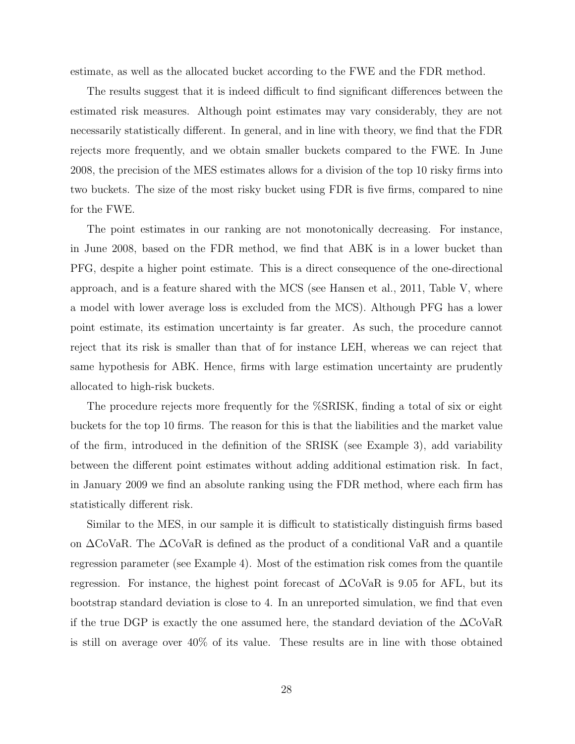estimate, as well as the allocated bucket according to the FWE and the FDR method.

The results suggest that it is indeed difficult to find significant differences between the estimated risk measures. Although point estimates may vary considerably, they are not necessarily statistically different. In general, and in line with theory, we find that the FDR rejects more frequently, and we obtain smaller buckets compared to the FWE. In June 2008, the precision of the MES estimates allows for a division of the top 10 risky firms into two buckets. The size of the most risky bucket using FDR is five firms, compared to nine for the FWE.

The point estimates in our ranking are not monotonically decreasing. For instance, in June 2008, based on the FDR method, we find that ABK is in a lower bucket than PFG, despite a higher point estimate. This is a direct consequence of the one-directional approach, and is a feature shared with the MCS (see Hansen et al., 2011, Table V, where a model with lower average loss is excluded from the MCS). Although PFG has a lower point estimate, its estimation uncertainty is far greater. As such, the procedure cannot reject that its risk is smaller than that of for instance LEH, whereas we can reject that same hypothesis for ABK. Hence, firms with large estimation uncertainty are prudently allocated to high-risk buckets.

The procedure rejects more frequently for the %SRISK, finding a total of six or eight buckets for the top 10 firms. The reason for this is that the liabilities and the market value of the firm, introduced in the definition of the SRISK (see Example 3), add variability between the different point estimates without adding additional estimation risk. In fact, in January 2009 we find an absolute ranking using the FDR method, where each firm has statistically different risk.

Similar to the MES, in our sample it is difficult to statistically distinguish firms based on ∆CoVaR. The ∆CoVaR is defined as the product of a conditional VaR and a quantile regression parameter (see Example 4). Most of the estimation risk comes from the quantile regression. For instance, the highest point forecast of ∆CoVaR is 9.05 for AFL, but its bootstrap standard deviation is close to 4. In an unreported simulation, we find that even if the true DGP is exactly the one assumed here, the standard deviation of the ∆CoVaR is still on average over 40% of its value. These results are in line with those obtained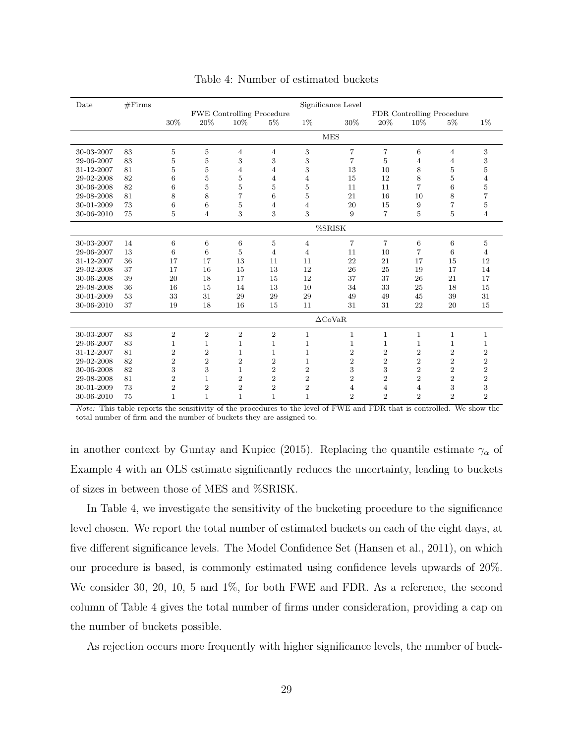| #Firms |                |                |                  |                |                |                                  |                                                              |                  |                |                           |
|--------|----------------|----------------|------------------|----------------|----------------|----------------------------------|--------------------------------------------------------------|------------------|----------------|---------------------------|
|        |                |                |                  |                |                |                                  |                                                              |                  |                |                           |
|        | 30%            | 20%            | 10%              | $5\%$          | $1\%$          | 30%                              | 20%                                                          | 10%              | $5\%$          | $1\%$                     |
|        |                |                |                  |                |                |                                  |                                                              |                  |                |                           |
| 83     | 5              | 5              | $\overline{4}$   | $\overline{4}$ | 3              | $\overline{7}$                   | $\overline{7}$                                               | 6                | $\overline{4}$ | 3                         |
| 83     | 5              | 5              | 3                | 3              | 3              | $\overline{7}$                   | 5                                                            | $\overline{4}$   | 4              | 3                         |
| 81     | 5              | 5              | $\overline{4}$   | 4              | 3              | 13                               | 10                                                           | 8                | 5              | 5                         |
| 82     | 6              | 5              | $\overline{5}$   | 4              | 4              | 15                               | 12                                                           | 8                | $\sqrt{5}$     | 4                         |
| 82     | 6              | 5              | $\overline{5}$   | 5              | 5              | 11                               | 11                                                           | $\overline{7}$   | 6              | $\bf 5$                   |
| 81     | 8              | 8              | $\overline{7}$   | 6              | 5              | 21                               | 16                                                           | 10               | 8              | 7                         |
| 73     | 6              | 6              | 5                | 4              | 4              | 20                               | 15                                                           | 9                | $\overline{7}$ | $\overline{5}$            |
| 75     | 5              | $\overline{4}$ | 3                | 3              | 3              | 9                                | $\overline{7}$                                               | 5                | 5              | $\overline{4}$            |
|        |                |                |                  |                |                |                                  |                                                              |                  |                |                           |
| 14     | 6              | 6              | 6                | 5              | $\overline{4}$ | $\overline{7}$                   | $\overline{7}$                                               | 6                | 6              | 5                         |
| 13     | 6              | 6              | 5                | $\overline{4}$ | $\overline{4}$ | 11                               | 10                                                           | $\overline{7}$   | 6              | $\overline{4}$            |
| 36     | 17             | 17             | 13               | 11             | 11             | 22                               | 21                                                           | 17               | 15             | 12                        |
| 37     | 17             | 16             | 15               | 13             | 12             | 26                               | 25                                                           | 19               | 17             | 14                        |
| 39     | 20             | 18             | 17               | 15             | 12             | 37                               | 37                                                           | 26               | 21             | 17                        |
| 36     | 16             | 15             | 14               | 13             | 10             | 34                               | 33                                                           | 25               | 18             | 15                        |
| 53     | 33             | 31             | 29               | 29             | 29             | 49                               | 49                                                           | 45               | 39             | 31                        |
| 37     | 19             | 18             | 16               | 15             | 11             | 31                               | 31                                                           | 22               | 20             | 15                        |
|        |                |                |                  |                |                |                                  |                                                              |                  |                |                           |
| 83     | $\overline{2}$ | $\overline{2}$ | $\sqrt{2}$       | $\sqrt{2}$     | $\mathbf{1}$   | $\mathbf{1}$                     | $\mathbf{1}$                                                 | $\mathbf{1}$     | $\mathbf 1$    | $\mathbf 1$               |
| 83     | 1              | $\mathbf 1$    | $\mathbf 1$      | 1              | $\mathbf 1$    | $\mathbf{1}$                     | $\mathbf 1$                                                  | $\mathbf{1}$     | $\mathbf 1$    | $\mathbf 1$               |
| 81     | $\overline{2}$ | $\overline{2}$ | $\mathbf{1}$     | 1              | $\mathbf{1}$   | $\overline{2}$                   | $\overline{2}$                                               | $\boldsymbol{2}$ | $\overline{2}$ | $\overline{2}$            |
| 82     | $\overline{2}$ | $\overline{2}$ | $\boldsymbol{2}$ | $\overline{2}$ | $\mathbf{1}$   | $\overline{2}$                   | $\overline{2}$                                               | $\overline{2}$   | $\overline{2}$ | $\boldsymbol{2}$          |
| 82     | 3              | 3              | $\mathbf{1}$     | $\overline{2}$ | $\overline{2}$ | 3                                | 3                                                            | $\overline{2}$   | $\overline{2}$ | $\overline{2}$            |
| 81     | $\overline{2}$ | 1              | $\sqrt{2}$       | $\overline{2}$ | $\overline{2}$ | $\overline{2}$                   | $\overline{2}$                                               | $\overline{2}$   | $\overline{2}$ | $\boldsymbol{2}$          |
| 73     | $\overline{2}$ | $\overline{2}$ | $\sqrt{2}$       | $\overline{2}$ | $\overline{2}$ | $\overline{4}$                   | $\overline{4}$                                               | $\overline{4}$   | 3              | 3                         |
| 75     | $\mathbf{1}$   | $\mathbf{1}$   | $\mathbf{1}$     | $\mathbf{1}$   | 1              | $\overline{2}$                   | $\overline{2}$                                               | $\overline{2}$   | $\overline{2}$ | $\overline{2}$            |
|        |                |                |                  |                |                | <b>FWE Controlling Procedure</b> | Significance Level<br><b>MES</b><br>%SRISK<br>$\Delta$ CoVaR |                  |                | FDR Controlling Procedure |

Table 4: Number of estimated buckets

Note: This table reports the sensitivity of the procedures to the level of FWE and FDR that is controlled. We show the total number of firm and the number of buckets they are assigned to.

in another context by Guntay and Kupiec (2015). Replacing the quantile estimate  $\gamma_{\alpha}$  of Example 4 with an OLS estimate significantly reduces the uncertainty, leading to buckets of sizes in between those of MES and %SRISK.

In Table 4, we investigate the sensitivity of the bucketing procedure to the significance level chosen. We report the total number of estimated buckets on each of the eight days, at five different significance levels. The Model Confidence Set (Hansen et al., 2011), on which our procedure is based, is commonly estimated using confidence levels upwards of 20%. We consider 30, 20, 10, 5 and 1\%, for both FWE and FDR. As a reference, the second column of Table 4 gives the total number of firms under consideration, providing a cap on the number of buckets possible.

As rejection occurs more frequently with higher significance levels, the number of buck-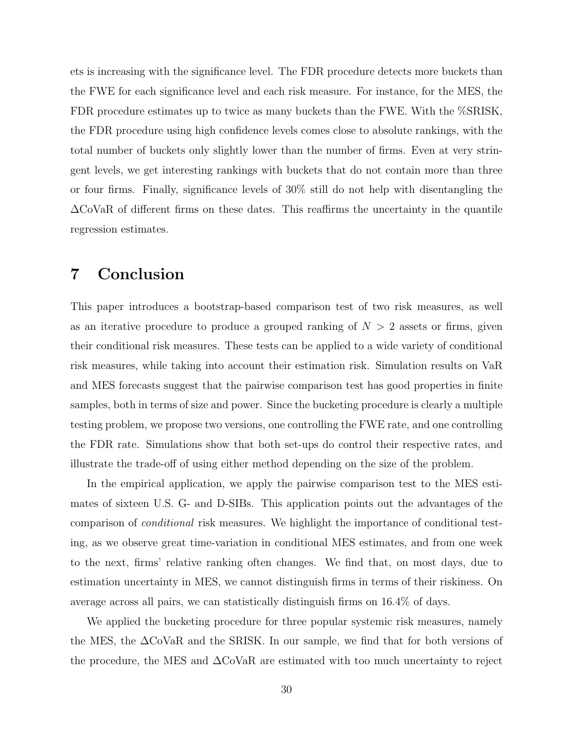ets is increasing with the significance level. The FDR procedure detects more buckets than the FWE for each significance level and each risk measure. For instance, for the MES, the FDR procedure estimates up to twice as many buckets than the FWE. With the %SRISK, the FDR procedure using high confidence levels comes close to absolute rankings, with the total number of buckets only slightly lower than the number of firms. Even at very stringent levels, we get interesting rankings with buckets that do not contain more than three or four firms. Finally, significance levels of 30% still do not help with disentangling the  $\Delta$ CoVaR of different firms on these dates. This reaffirms the uncertainty in the quantile regression estimates.

## 7 Conclusion

This paper introduces a bootstrap-based comparison test of two risk measures, as well as an iterative procedure to produce a grouped ranking of  $N > 2$  assets or firms, given their conditional risk measures. These tests can be applied to a wide variety of conditional risk measures, while taking into account their estimation risk. Simulation results on VaR and MES forecasts suggest that the pairwise comparison test has good properties in finite samples, both in terms of size and power. Since the bucketing procedure is clearly a multiple testing problem, we propose two versions, one controlling the FWE rate, and one controlling the FDR rate. Simulations show that both set-ups do control their respective rates, and illustrate the trade-off of using either method depending on the size of the problem.

In the empirical application, we apply the pairwise comparison test to the MES estimates of sixteen U.S. G- and D-SIBs. This application points out the advantages of the comparison of conditional risk measures. We highlight the importance of conditional testing, as we observe great time-variation in conditional MES estimates, and from one week to the next, firms' relative ranking often changes. We find that, on most days, due to estimation uncertainty in MES, we cannot distinguish firms in terms of their riskiness. On average across all pairs, we can statistically distinguish firms on 16.4% of days.

We applied the bucketing procedure for three popular systemic risk measures, namely the MES, the ∆CoVaR and the SRISK. In our sample, we find that for both versions of the procedure, the MES and ∆CoVaR are estimated with too much uncertainty to reject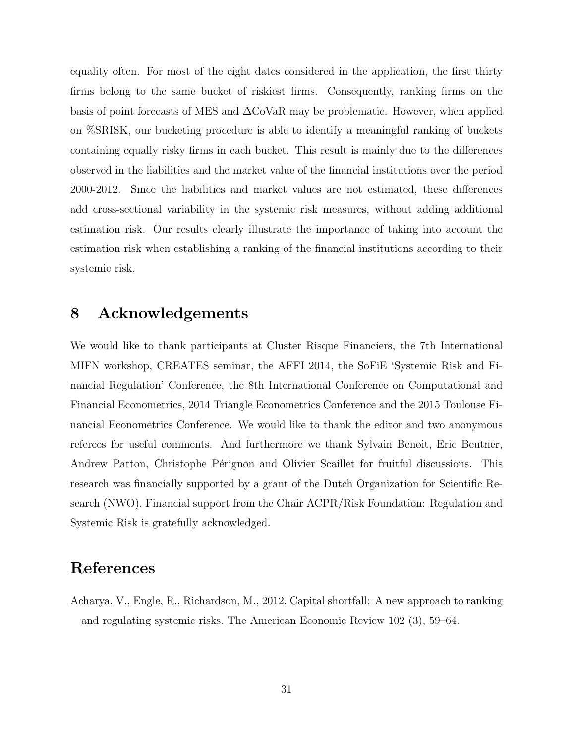equality often. For most of the eight dates considered in the application, the first thirty firms belong to the same bucket of riskiest firms. Consequently, ranking firms on the basis of point forecasts of MES and ∆CoVaR may be problematic. However, when applied on %SRISK, our bucketing procedure is able to identify a meaningful ranking of buckets containing equally risky firms in each bucket. This result is mainly due to the differences observed in the liabilities and the market value of the financial institutions over the period 2000-2012. Since the liabilities and market values are not estimated, these differences add cross-sectional variability in the systemic risk measures, without adding additional estimation risk. Our results clearly illustrate the importance of taking into account the estimation risk when establishing a ranking of the financial institutions according to their systemic risk.

### 8 Acknowledgements

We would like to thank participants at Cluster Risque Financiers, the 7th International MIFN workshop, CREATES seminar, the AFFI 2014, the SoFiE 'Systemic Risk and Financial Regulation' Conference, the 8th International Conference on Computational and Financial Econometrics, 2014 Triangle Econometrics Conference and the 2015 Toulouse Financial Econometrics Conference. We would like to thank the editor and two anonymous referees for useful comments. And furthermore we thank Sylvain Benoit, Eric Beutner, Andrew Patton, Christophe Pérignon and Olivier Scaillet for fruitful discussions. This research was financially supported by a grant of the Dutch Organization for Scientific Research (NWO). Financial support from the Chair ACPR/Risk Foundation: Regulation and Systemic Risk is gratefully acknowledged.

### References

Acharya, V., Engle, R., Richardson, M., 2012. Capital shortfall: A new approach to ranking and regulating systemic risks. The American Economic Review 102 (3), 59–64.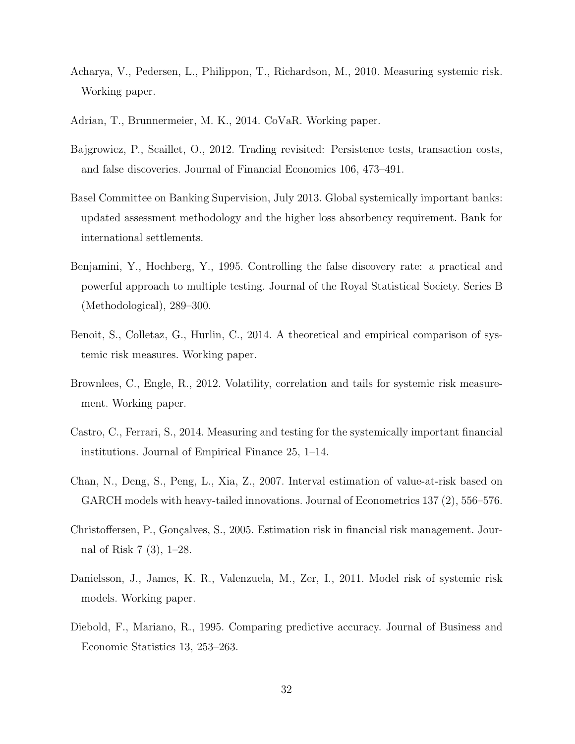- Acharya, V., Pedersen, L., Philippon, T., Richardson, M., 2010. Measuring systemic risk. Working paper.
- Adrian, T., Brunnermeier, M. K., 2014. CoVaR. Working paper.
- Bajgrowicz, P., Scaillet, O., 2012. Trading revisited: Persistence tests, transaction costs, and false discoveries. Journal of Financial Economics 106, 473–491.
- Basel Committee on Banking Supervision, July 2013. Global systemically important banks: updated assessment methodology and the higher loss absorbency requirement. Bank for international settlements.
- Benjamini, Y., Hochberg, Y., 1995. Controlling the false discovery rate: a practical and powerful approach to multiple testing. Journal of the Royal Statistical Society. Series B (Methodological), 289–300.
- Benoit, S., Colletaz, G., Hurlin, C., 2014. A theoretical and empirical comparison of systemic risk measures. Working paper.
- Brownlees, C., Engle, R., 2012. Volatility, correlation and tails for systemic risk measurement. Working paper.
- Castro, C., Ferrari, S., 2014. Measuring and testing for the systemically important financial institutions. Journal of Empirical Finance 25, 1–14.
- Chan, N., Deng, S., Peng, L., Xia, Z., 2007. Interval estimation of value-at-risk based on GARCH models with heavy-tailed innovations. Journal of Econometrics 137 (2), 556–576.
- Christoffersen, P., Gonçalves, S., 2005. Estimation risk in financial risk management. Journal of Risk 7 (3), 1–28.
- Danielsson, J., James, K. R., Valenzuela, M., Zer, I., 2011. Model risk of systemic risk models. Working paper.
- Diebold, F., Mariano, R., 1995. Comparing predictive accuracy. Journal of Business and Economic Statistics 13, 253–263.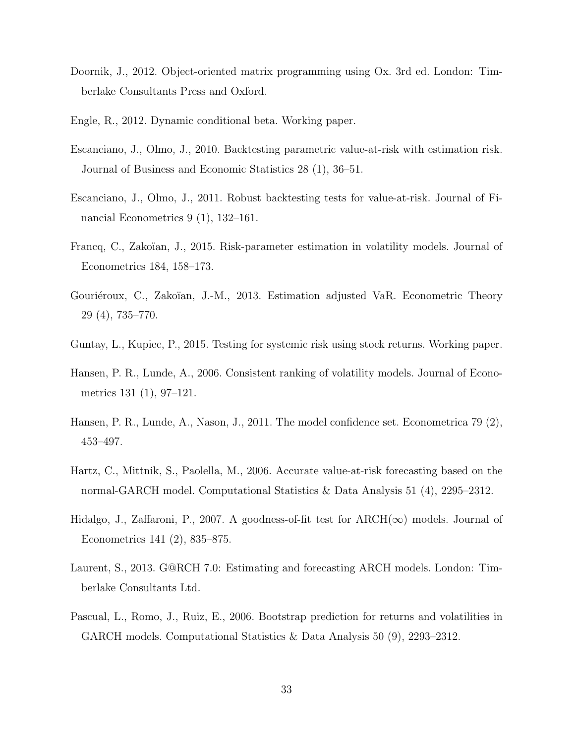- Doornik, J., 2012. Object-oriented matrix programming using Ox. 3rd ed. London: Timberlake Consultants Press and Oxford.
- Engle, R., 2012. Dynamic conditional beta. Working paper.
- Escanciano, J., Olmo, J., 2010. Backtesting parametric value-at-risk with estimation risk. Journal of Business and Economic Statistics 28 (1), 36–51.
- Escanciano, J., Olmo, J., 2011. Robust backtesting tests for value-at-risk. Journal of Financial Econometrics 9 (1), 132–161.
- Francq, C., Zakoïan, J., 2015. Risk-parameter estimation in volatility models. Journal of Econometrics 184, 158–173.
- Gouriéroux, C., Zakoïan, J.-M., 2013. Estimation adjusted VaR. Econometric Theory 29 (4), 735–770.
- Guntay, L., Kupiec, P., 2015. Testing for systemic risk using stock returns. Working paper.
- Hansen, P. R., Lunde, A., 2006. Consistent ranking of volatility models. Journal of Econometrics 131 (1), 97–121.
- Hansen, P. R., Lunde, A., Nason, J., 2011. The model confidence set. Econometrica 79 (2), 453–497.
- Hartz, C., Mittnik, S., Paolella, M., 2006. Accurate value-at-risk forecasting based on the normal-GARCH model. Computational Statistics & Data Analysis 51 (4), 2295–2312.
- Hidalgo, J., Zaffaroni, P., 2007. A goodness-of-fit test for  $\text{ARCH}(\infty)$  models. Journal of Econometrics 141 (2), 835–875.
- Laurent, S., 2013. G@RCH 7.0: Estimating and forecasting ARCH models. London: Timberlake Consultants Ltd.
- Pascual, L., Romo, J., Ruiz, E., 2006. Bootstrap prediction for returns and volatilities in GARCH models. Computational Statistics & Data Analysis 50 (9), 2293–2312.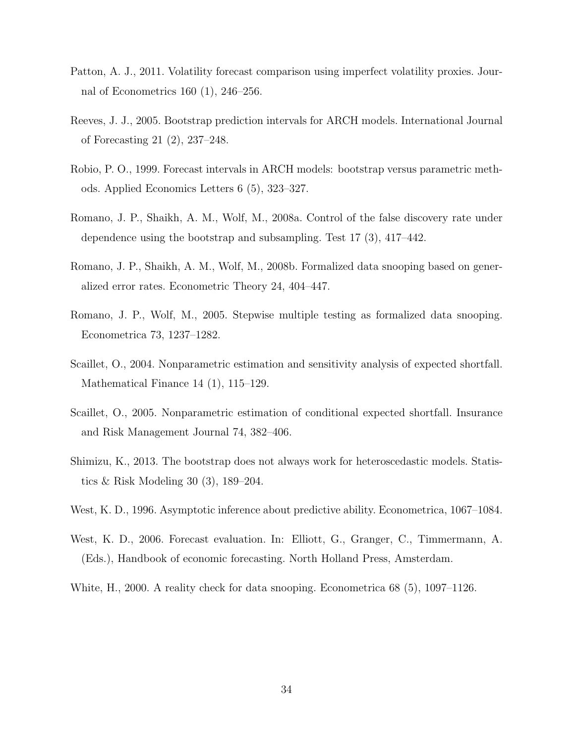- Patton, A. J., 2011. Volatility forecast comparison using imperfect volatility proxies. Journal of Econometrics 160 (1), 246–256.
- Reeves, J. J., 2005. Bootstrap prediction intervals for ARCH models. International Journal of Forecasting 21 (2), 237–248.
- Robio, P. O., 1999. Forecast intervals in ARCH models: bootstrap versus parametric methods. Applied Economics Letters 6 (5), 323–327.
- Romano, J. P., Shaikh, A. M., Wolf, M., 2008a. Control of the false discovery rate under dependence using the bootstrap and subsampling. Test 17 (3), 417–442.
- Romano, J. P., Shaikh, A. M., Wolf, M., 2008b. Formalized data snooping based on generalized error rates. Econometric Theory 24, 404–447.
- Romano, J. P., Wolf, M., 2005. Stepwise multiple testing as formalized data snooping. Econometrica 73, 1237–1282.
- Scaillet, O., 2004. Nonparametric estimation and sensitivity analysis of expected shortfall. Mathematical Finance 14 (1), 115–129.
- Scaillet, O., 2005. Nonparametric estimation of conditional expected shortfall. Insurance and Risk Management Journal 74, 382–406.
- Shimizu, K., 2013. The bootstrap does not always work for heteroscedastic models. Statistics & Risk Modeling 30 (3), 189–204.
- West, K. D., 1996. Asymptotic inference about predictive ability. Econometrica, 1067–1084.
- West, K. D., 2006. Forecast evaluation. In: Elliott, G., Granger, C., Timmermann, A. (Eds.), Handbook of economic forecasting. North Holland Press, Amsterdam.
- White, H., 2000. A reality check for data snooping. Econometrica 68 (5), 1097–1126.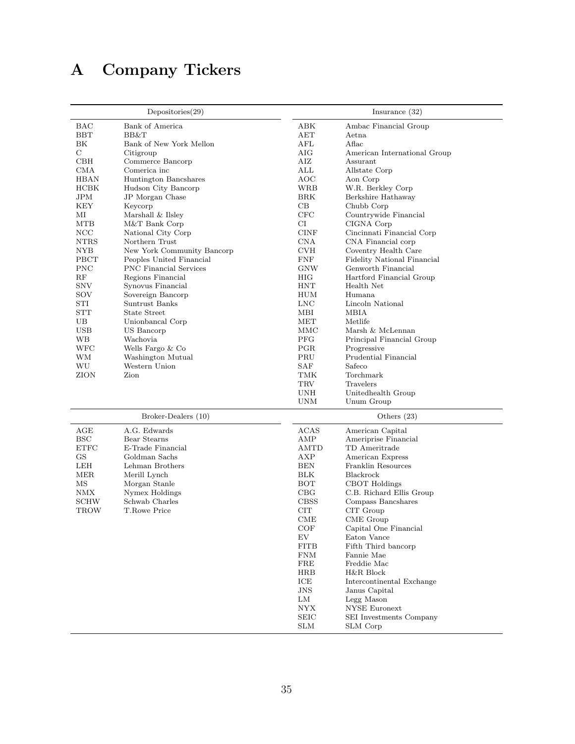# A Company Tickers

|              | Depositories(29)              |             | Insurance $(32)$             |
|--------------|-------------------------------|-------------|------------------------------|
| BAC          | Bank of America               | ABK         | Ambac Financial Group        |
| <b>BBT</b>   | BB&T                          | AET         | Aetna.                       |
| ВK           | Bank of New York Mellon       | ${\rm AFL}$ | Aflac                        |
| С            | Citigroup                     | AIG         | American International Group |
| CBH          | Commerce Bancorp              | AIZ         | Assurant                     |
| <b>CMA</b>   | Comerica inc                  | ALL         | Allstate Corp                |
| HBAN         | Huntington Bancshares         | AOC         | Aon Corp                     |
| HCBK         | Hudson City Bancorp           | WRB         | W.R. Berkley Corp            |
| JPM          | JP Morgan Chase               | <b>BRK</b>  | Berkshire Hathaway           |
| <b>KEY</b>   | Keycorp                       | CB          | Chubb Corp                   |
| ΜΙ           | Marshall & Ilsley             | CFC         | Countrywide Financial        |
| <b>MTB</b>   | M&T Bank Corp                 | CI          | CIGNA Corp                   |
| NCC          | National City Corp            | <b>CINF</b> | Cincinnati Financial Corp    |
| <b>NTRS</b>  | Northern Trust                | <b>CNA</b>  | CNA Financial corp           |
| NYB          | New York Community Bancorp    | <b>CVH</b>  | Coventry Health Care         |
| PBCT         | Peoples United Financial      | <b>FNF</b>  | Fidelity National Financial  |
| <b>PNC</b>   | <b>PNC</b> Financial Services | <b>GNW</b>  | Genworth Financial           |
| RF           | Regions Financial             | НIG         | Hartford Financial Group     |
| SNV          | Synovus Financial             | <b>HNT</b>  | Health Net                   |
| SOV          | Sovereign Bancorp             | HUM         | Humana                       |
| $_{\rm STI}$ | Suntrust Banks                | <b>LNC</b>  | Lincoln National             |
| STT          | <b>State Street</b>           | MBI         | <b>MBIA</b>                  |
| UB.          | Unionbancal Corp              | MET         | Metlife                      |
| <b>USB</b>   | US Bancorp                    | <b>MMC</b>  | Marsh & McLennan             |
| WВ           | Wachovia                      | <b>PFG</b>  | Principal Financial Group    |
| WFC          | Wells Fargo & Co              | <b>PGR</b>  | Progressive                  |
| WМ           | Washington Mutual             | PRU         | Prudential Financial         |
| WU           | Western Union                 | SAF         | Safeco                       |
| ZION         | Zion                          | TMK         | Torchmark                    |
|              |                               | TRV         | Travelers                    |
|              |                               | <b>UNH</b>  | Unitedhealth Group           |
|              |                               | <b>UNM</b>  | Unum Group                   |
|              | Broker-Dealers (10)           |             | Others $(23)$                |
| AGE          | A.G. Edwards                  | ACAS        | American Capital             |
| BSC          | Bear Stearns                  | AMP         | Ameriprise Financial         |
| <b>ETFC</b>  | E-Trade Financial             | AMTD        | TD Ameritrade                |
| GS           | Goldman Sachs                 | AXP         | American Express             |
| LEH          | Lehman Brothers               | BEN         | Franklin Resources           |
| MER          | Merill Lynch                  | BLK         | Blackrock                    |
| MS           | Morgan Stanle                 | BOT         | <b>CBOT</b> Holdings         |
| NMX          | Nymex Holdings                | CBG         | C.B. Richard Ellis Group     |
| SCHW         | Schwab Charles                | CBSS        | Compass Bancshares           |
| TROW         | T.Rowe Price                  | CIT         | CIT Group                    |
|              |                               | CME         | CME Group                    |
|              |                               | COF         | Capital One Financial        |
|              |                               | ${\rm EV}$  | Eaton Vance                  |
|              |                               | FITB        | Fifth Third bancorp          |
|              |                               | <b>FNM</b>  | Fannie Mae                   |
|              |                               | FRE         | Freddie Mac                  |
|              |                               | <b>HRB</b>  | H&R Block                    |
|              |                               | ICE         | Intercontinental Exchange    |
|              |                               | JNS         | Janus Capital                |
|              |                               | LМ          | Legg Mason                   |
|              |                               | <b>NYX</b>  | <b>NYSE Euronext</b>         |
|              |                               | <b>SEIC</b> | SEI Investments Company      |
|              |                               | <b>SLM</b>  | SLM Corp                     |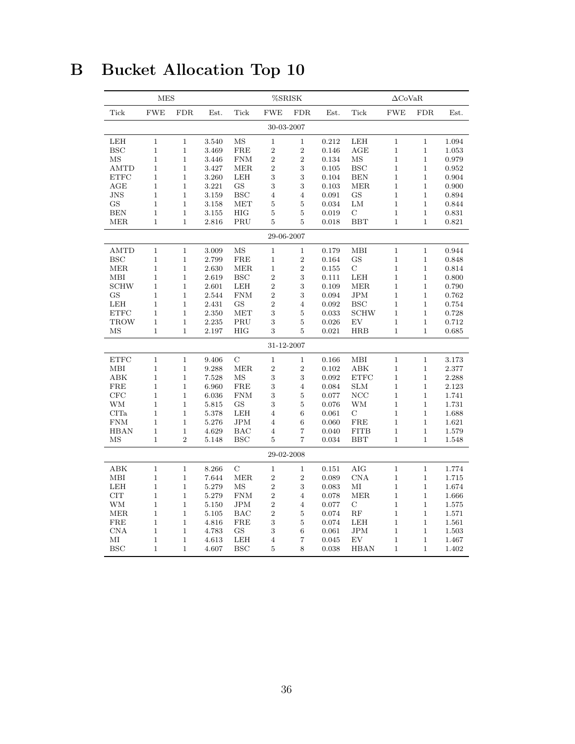# B Bucket Allocation Top 10

|              | <b>MES</b>   |                |       |                   | $\%\mathrm{SRISK}$ |                  | $\Delta$ CoVaR |             |              |              |       |
|--------------|--------------|----------------|-------|-------------------|--------------------|------------------|----------------|-------------|--------------|--------------|-------|
| Tick         | <b>FWE</b>   | <b>FDR</b>     | Est.  | Tick              | ${\rm FWE}$        | <b>FDR</b>       | Est.           | Tick        | <b>FWE</b>   | <b>FDR</b>   | Est.  |
|              |              |                |       |                   | 30-03-2007         |                  |                |             |              |              |       |
| LEH          | $\mathbf{1}$ | $\,1$          | 3.540 | МS                | $\mathbf{1}$       | $\mathbf{1}$     | 0.212          | LEH         | $\,1$        | $\,1$        | 1.094 |
| <b>BSC</b>   | $\,1$        | $\,1$          | 3.469 | FRE               | $\,2$              | $\boldsymbol{2}$ | 0.146          | AGE         | $\,1$        | $\mathbf 1$  | 1.053 |
| $_{\rm MS}$  | $\mathbf{1}$ | $\mathbf{1}$   | 3.446 | FNM               | $\,2$              | $\overline{2}$   | 0.134          | ΜS          | $\,1$        | $\mathbf 1$  | 0.979 |
| AMTD         | $\mathbf{1}$ | $\mathbf{1}$   | 3.427 | MER               | $\,2$              | 3                | 0.105          | <b>BSC</b>  | $\,1\,$      | $\,1\,$      | 0.952 |
| <b>ETFC</b>  | $\mathbf{1}$ | $\mathbf{1}$   | 3.260 | LEH               | 3                  | 3                | 0.104          | <b>BEN</b>  | $\,1$        | $\mathbf 1$  | 0.904 |
| AGE          | $\mathbf{1}$ | $\mathbf{1}$   | 3.221 | GS                | 3                  | 3                | 0.103          | <b>MER</b>  | $\,1$        | $\mathbf 1$  | 0.900 |
| JNS          | $\mathbf 1$  | $\,1$          | 3.159 | <b>BSC</b>        | $\overline{4}$     | 4                | 0.091          | <b>GS</b>   | $\,1$        | $\mathbf{1}$ | 0.894 |
| GS           | $\mathbf{1}$ | $\mathbf{1}$   | 3.158 | MET               | 5                  | 5                | 0.034          | LM          | $\,1$        | $\mathbf 1$  | 0.844 |
| <b>BEN</b>   | $\mathbf{1}$ | $\mathbf{1}$   | 3.155 | HIG               | $\overline{5}$     | 5                | 0.019          | С           | $\mathbf{1}$ | $\,1\,$      | 0.831 |
| MER          | $\mathbf{1}$ | $\mathbf{1}$   | 2.816 | PRU               | 5                  | 5                | 0.018          | <b>BBT</b>  | $\mathbf{1}$ | $\mathbf 1$  | 0.821 |
|              |              |                |       |                   | 29-06-2007         |                  |                |             |              |              |       |
| AMTD         | $\mathbf{1}$ | $\mathbf 1$    | 3.009 | $_{\rm MS}$       | $\mathbf{1}$       | $\mathbf{1}$     | 0.179          | MBI         | $\,1\,$      | $\mathbf{1}$ | 0.944 |
| <b>BSC</b>   | $\mathbf{1}$ | $\mathbf{1}$   | 2.799 | FRE               | $\mathbf{1}$       | $\,2$            | 0.164          | <b>GS</b>   | $\mathbf{1}$ | $\mathbf{1}$ | 0.848 |
| MER          | $\,1$        | $\,1$          | 2.630 | MER               | $\,1$              | $\overline{2}$   | 0.155          | С           | $\,1$        | $\mathbf 1$  | 0.814 |
| МBI          | $\mathbf{1}$ | $\mathbf{1}$   | 2.619 | $_{\rm BSC}$      | $\,2$              | 3                | 0.111          | LEH         | $\,1$        | $\,1\,$      | 0.800 |
| <b>SCHW</b>  | $\mathbf{1}$ | $\mathbf{1}$   | 2.601 | LEH               | $\,2$              | 3                | 0.109          | <b>MER</b>  | $\,1$        | $\mathbf 1$  | 0.790 |
| GS           | $\mathbf{1}$ | $\mathbf 1$    | 2.544 | FNM               | $\sqrt{2}$         | 3                | 0.094          | JPM         | $\,1$        | $\mathbf 1$  | 0.762 |
| LEH          | $\mathbf{1}$ | $\mathbf{1}$   | 2.431 | GS                | $\overline{2}$     | $\overline{4}$   | 0.092          | <b>BSC</b>  | $\,1$        | $\mathbf{1}$ | 0.754 |
| <b>ETFC</b>  | $\mathbf{1}$ | $\mathbf{1}$   | 2.350 | MET               | $\sqrt{3}$         | 5                | 0.033          | <b>SCHW</b> | $\mathbf{1}$ | $\mathbf 1$  | 0.728 |
| TROW         | $\mathbf{1}$ | $\mathbf{1}$   | 2.235 | PRU               | 3                  | $\overline{5}$   | 0.026          | EV          | $\mathbf{1}$ | $\mathbf{1}$ | 0.712 |
| $_{\rm MS}$  | $\mathbf{1}$ | $\mathbf{1}$   | 2.197 | НIG               | 3                  | 5                | 0.021          | <b>HRB</b>  | $\mathbf 1$  | $\mathbf{1}$ | 0.685 |
|              |              |                |       |                   | 31-12-2007         |                  |                |             |              |              |       |
| <b>ETFC</b>  | $\,1$        | $\,1$          | 9.406 | С                 | $\mathbf{1}$       | $\mathbf 1$      | 0.166          | MBI         | $1\,$        | $\,1$        | 3.173 |
| MBI          | $\mathbf{1}$ | $\mathbf{1}$   | 9.288 | MER               | $\overline{2}$     | $\,2$            | 0.102          | ABK         | $\mathbf{1}$ | $\mathbf{1}$ | 2.377 |
| ABK          | $\mathbf{1}$ | $\mathbf{1}$   | 7.528 | ΜS                | 3                  | 3                | 0.092          | <b>ETFC</b> | $\,1$        | $\mathbf 1$  | 2.288 |
| FRE          | $\mathbf 1$  | $\mathbf 1$    | 6.960 | FRE               | 3                  | 4                | 0.084          | SLM         | $\,1\,$      | $\,1$        | 2.123 |
| CFC          | $\mathbf{1}$ | $\mathbf{1}$   | 6.036 | <b>FNM</b>        | 3                  | $\overline{5}$   | 0.077          | NCC         | $\,1$        | $\,1$        | 1.741 |
| WМ           | $\mathbf{1}$ | $\mathbf{1}$   | 5.815 | GS                | 3                  | $\bf 5$          | 0.076          | WМ          | $\,1$        | $\mathbf 1$  | 1.731 |
| CITa         | $\mathbf{1}$ | $\mathbf{1}$   | 5.378 | LEH               | $\overline{4}$     | 6                | 0.061          | С           | $1\,$        | $\,1$        | 1.688 |
| <b>FNM</b>   | $\mathbf{1}$ | $\mathbf{1}$   | 5.276 | $_{\mathrm{JPM}}$ | $\overline{4}$     | 6                | 0.060          | FRE         | $\mathbf{1}$ | $\mathbf 1$  | 1.621 |
| HBAN         | $\mathbf{1}$ | $\mathbf{1}$   | 4.629 | BAC               | $\overline{4}$     | 7                | 0.040          | <b>FITB</b> | $\mathbf{1}$ | $\mathbf{1}$ | 1.579 |
| ΜS           | $\mathbf{1}$ | $\overline{2}$ | 5.148 | BSC               | 5                  | $\overline{7}$   | 0.034          | <b>BBT</b>  | $\mathbf{1}$ | $\mathbf{1}$ | 1.548 |
|              |              |                |       |                   | 29-02-2008         |                  |                |             |              |              |       |
| ABK          | $\,1\,$      | $\,1$          | 8.266 | С                 | $\,1$              | $\mathbf{1}$     | 0.151          | AIG         | $\,1\,$      | $\mathbf 1$  | 1.774 |
| MBI          | $\mathbf{1}$ | $\mathbf{1}$   | 7.644 | MER               | $\sqrt{2}$         | $\sqrt{2}$       | 0.089          | <b>CNA</b>  | $\,1$        | $\mathbf 1$  | 1.715 |
| LEH          | $\mathbf{1}$ | $\mathbf{1}$   | 5.279 | ΜS                | $\overline{2}$     | 3                | 0.083          | МI          | $1\,$        | $\mathbf 1$  | 1.674 |
| CIT          | $\mathbf{1}$ | $\mathbf{1}$   | 5.279 | <b>FNM</b>        | $\,2$              | $\overline{4}$   | 0.078          | MER         | $\,1\,$      | $\mathbf{1}$ | 1.666 |
| <b>WM</b>    | $\mathbf 1$  | $\mathbf 1$    | 5.150 | JPM               | $\,2$              | 4                | 0.077          | C           | $\,1\,$      | $\mathbf{1}$ | 1.575 |
| <b>MER</b>   | $\mathbf{1}$ | $\mathbf{1}$   | 5.105 | BAC               | $\,2$              | $\overline{5}$   | 0.074          | RF          | $\,1\,$      | $\mathbf 1$  | 1.571 |
| FRE          | $\mathbf{1}$ | $\mathbf{1}$   | 4.816 | <b>FRE</b>        | 3                  | $\overline{5}$   | 0.074          | LEH         | $\,1\,$      | $\mathbf{1}$ | 1.561 |
| <b>CNA</b>   | $\mathbf{1}$ | $\mathbf{1}$   | 4.783 | $_{\rm GS}$       | 3                  | 6                | 0.061          | JPM         | $\,1$        | $\mathbf{1}$ | 1.503 |
| MI           | $\mathbf{1}$ | $\mathbf 1$    | 4.613 | LEH               | $\overline{4}$     | 7                | 0.045          | EV          | $\,1$        | $\mathbf 1$  | 1.467 |
| $_{\rm BSC}$ | $\mathbf 1$  | $\mathbf 1$    | 4.607 | $_{\rm BSC}$      | 5                  | 8                | 0.038          | HBAN        | $\mathbf{1}$ | $\mathbf 1$  | 1.402 |